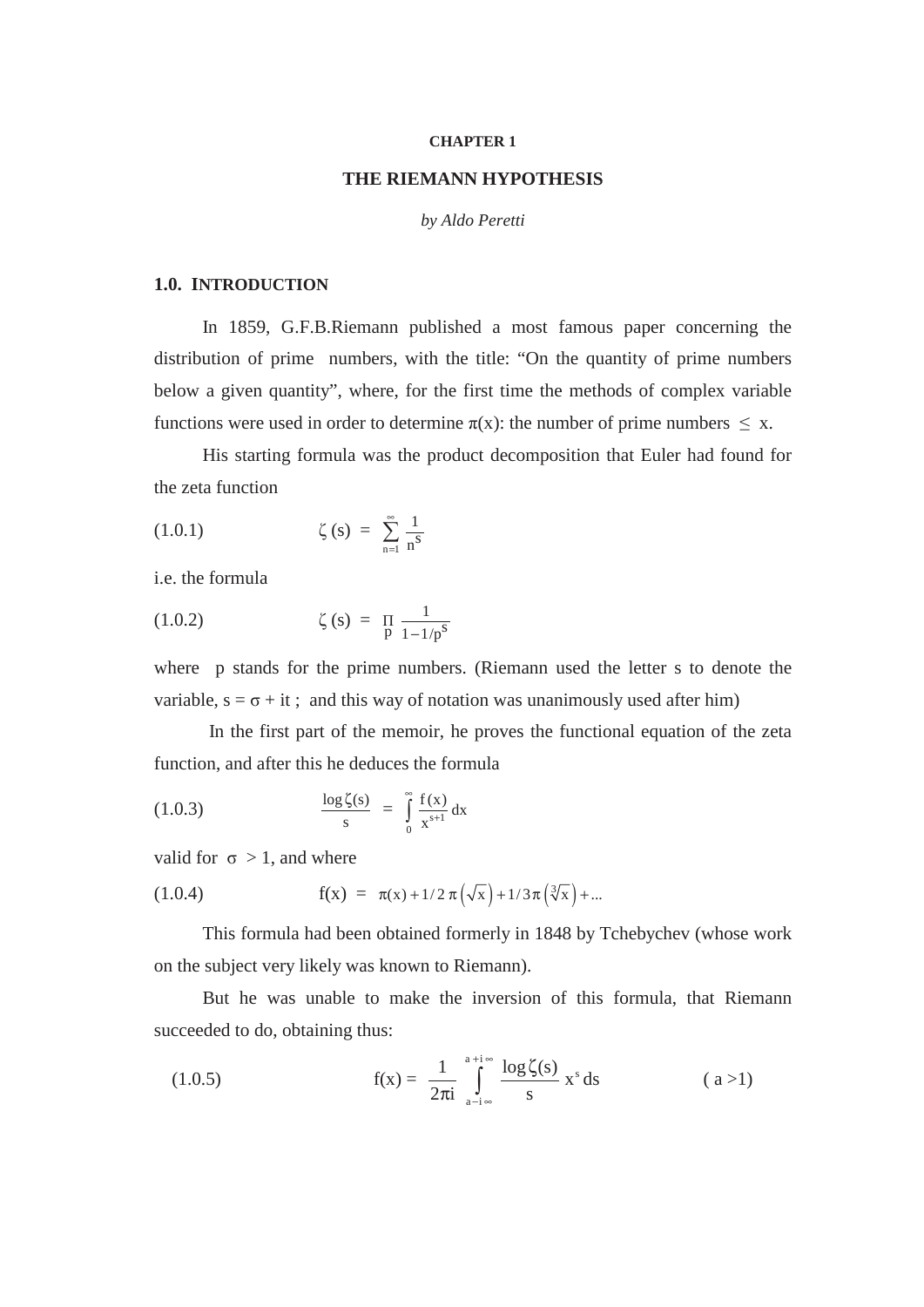#### **CHAPTER 1**

## **THE RIEMANN HYPOTHESIS**

#### *by Aldo Peretti*

#### **1.0. INTRODUCTION**

In 1859, G.F.B.Riemann published a most famous paper concerning the distribution of prime numbers, with the title: "On the quantity of prime numbers below a given quantity", where, for the first time the methods of complex variable functions were used in order to determine  $\pi(x)$ : the number of prime numbers  $\leq x$ .

His starting formula was the product decomposition that Euler had found for the zeta function

(1.0.1) 
$$
\zeta(s) = \sum_{n=1}^{\infty} \frac{1}{n^s}
$$

i.e. the formula

(1.0.2) 
$$
\zeta(s) = \prod_{p} \frac{1}{1 - 1/p^s}
$$

where p stands for the prime numbers. (Riemann used the letter s to denote the variable,  $s = \sigma + it$ ; and this way of notation was unanimously used after him)

In the first part of the memoir, he proves the functional equation of the zeta function, and after this he deduces the formula

(1.0.3) 
$$
\frac{\log \zeta(s)}{s} = \int_{0}^{\infty} \frac{f(x)}{x^{s+1}} dx
$$

valid for  $\sigma > 1$ , and where

(1.0.4) 
$$
f(x) = \pi(x) + 1/2 \pi \left(\sqrt{x}\right) + 1/3 \pi \left(\sqrt[3]{x}\right) + ...
$$

This formula had been obtained formerly in 1848 by Tchebychev (whose work on the subject very likely was known to Riemann).

But he was unable to make the inversion of this formula, that Riemann succeeded to do, obtaining thus:

(1.0.5) 
$$
f(x) = \frac{1}{2\pi i} \int_{a-i\infty}^{a+i\infty} \frac{\log \zeta(s)}{s} x^{s} ds
$$
 (a > 1)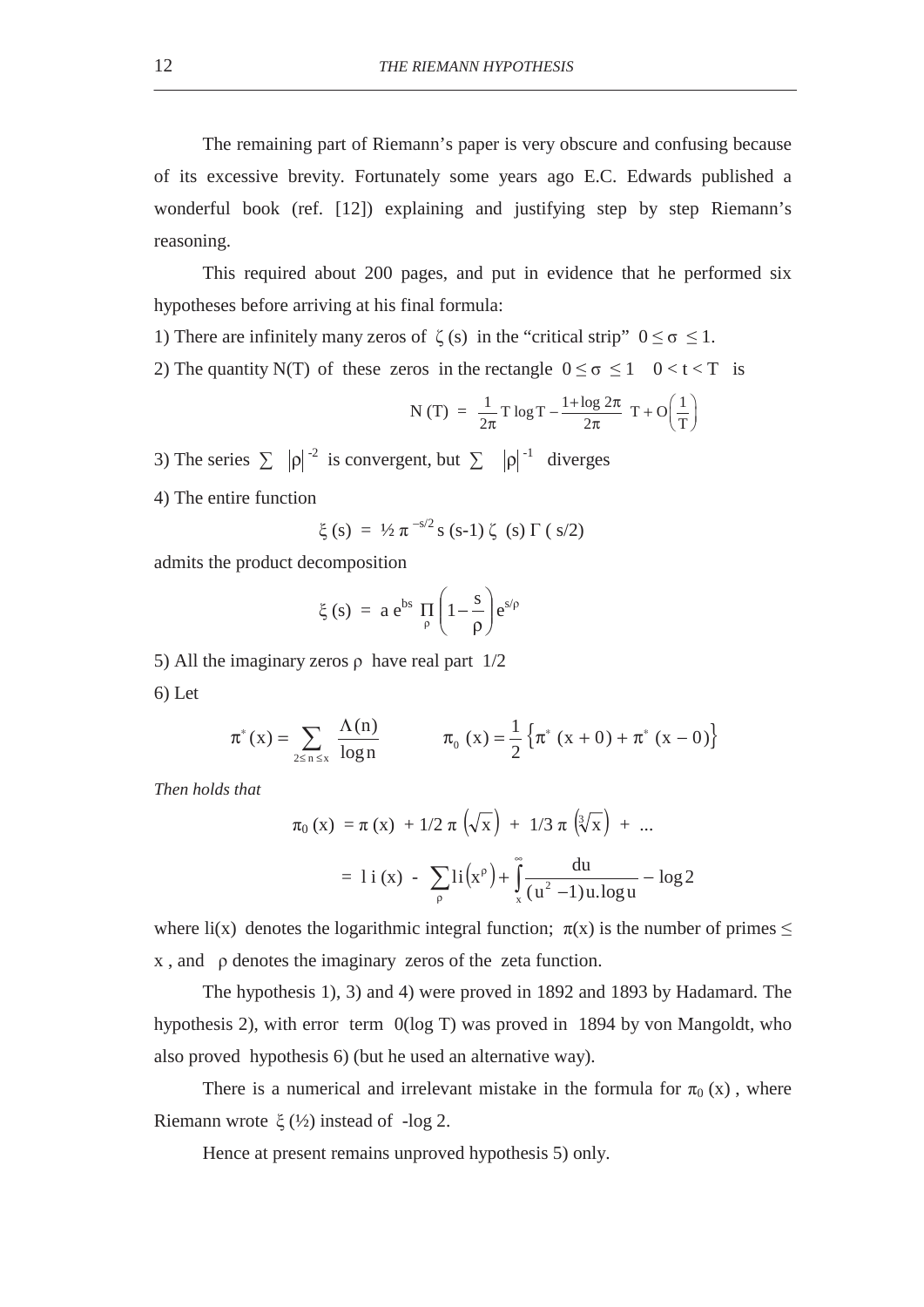The remaining part of Riemann's paper is very obscure and confusing because of its excessive brevity. Fortunately some years ago E.C. Edwards published a wonderful book (ref. [12]) explaining and justifying step by step Riemann's reasoning.

This required about 200 pages, and put in evidence that he performed six hypotheses before arriving at his final formula:

- 1) There are infinitely many zeros of  $\zeta(s)$  in the "critical strip"  $0 \le \sigma \le 1$ .
- 2) The quantity N(T) of these zeros in the rectangle  $0 \le \sigma \le 1$   $0 < t < T$  is

N (T) = 
$$
\frac{1}{2\pi}
$$
T log T -  $\frac{1 + log 2\pi}{2\pi}$  T + O $\left(\frac{1}{T}\right)$ 

3) The series  $\sum |\rho|^{-2}$  is convergent, but  $\sum |\rho|^{-1}$  diverges

4) The entire function

$$
\xi(s) = \frac{1}{2} \pi^{-s/2} s (s-1) \zeta (s) \Gamma (s/2)
$$

admits the product decomposition

$$
\xi(s) = a e^{bs} \prod_{\rho} \left( 1 - \frac{s}{\rho} \right) e^{s/\rho}
$$

5) All the imaginary zeros  $\rho$  have real part  $1/2$ 

6) Let

$$
\pi^*(x) = \sum_{2 \le n \le x} \frac{\Lambda(n)}{\log n} \qquad \qquad \pi_0(x) = \frac{1}{2} \left\{ \pi^* (x+0) + \pi^* (x-0) \right\}
$$

*Then holds that* 

$$
\pi_0(x) = \pi(x) + 1/2 \pi \left(\sqrt{x}\right) + 1/3 \pi \left(\sqrt[3]{x}\right) + \dots
$$

$$
= 1 \, \mathrm{i} \,(x) - \sum_{\rho} \mathrm{i} \left(x^{\rho}\right) + \int_{x}^{\infty} \frac{\mathrm{d}u}{\left(u^2 - 1\right)u \cdot \log u} - \log 2
$$

where li(x) denotes the logarithmic integral function;  $\pi(x)$  is the number of primes  $\leq$  $x$ , and  $\rho$  denotes the imaginary zeros of the zeta function.

The hypothesis 1), 3) and 4) were proved in 1892 and 1893 by Hadamard. The hypothesis 2), with error term 0(log T) was proved in 1894 by von Mangoldt, who also proved hypothesis 6) (but he used an alternative way).

There is a numerical and irrelevant mistake in the formula for  $\pi_0(x)$ , where Riemann wrote  $\xi$  (½) instead of -log 2.

Hence at present remains unproved hypothesis 5) only.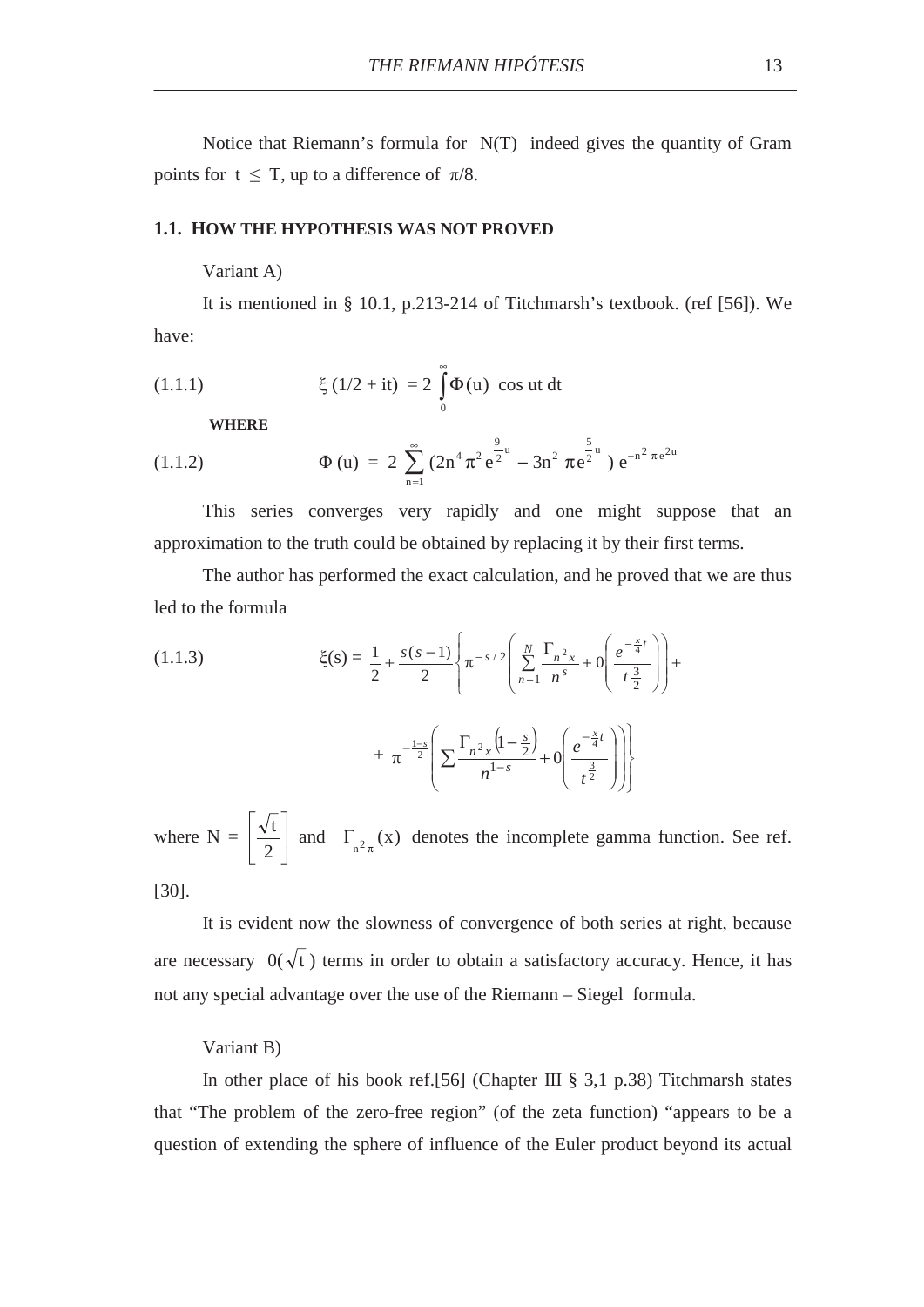Notice that Riemann's formula for N(T) indeed gives the quantity of Gram points for  $t \leq T$ , up to a difference of  $\pi/8$ .

### **1.1. HOW THE HYPOTHESIS WAS NOT PROVED**

Variant A)

It is mentioned in § 10.1, p.213-214 of Titchmarsh's textbook. (ref [56]). We have:

(1.1.1) 
$$
\xi(1/2 + it) = 2 \int_{0}^{\infty} \Phi(u) \cos ut \, dt
$$

**WHERE** 

(1.1.2) 
$$
\Phi (u) = 2 \sum_{n=1}^{\infty} (2n^4 \pi^2 e^{\frac{9}{2}u} - 3n^2 \pi e^{\frac{5}{2}u}) e^{-n^2 \pi e^{2u}}
$$

This series converges very rapidly and one might suppose that an approximation to the truth could be obtained by replacing it by their first terms.

The author has performed the exact calculation, and he proved that we are thus led to the formula

(1.1.3) 
$$
\xi(s) = \frac{1}{2} + \frac{s(s-1)}{2} \left\{ \pi^{-s/2} \left( \sum_{n=1}^{N} \frac{\Gamma_{n^2 x}}{n^s} + 0 \left( \frac{e^{-\frac{x}{4}t}}{t^{\frac{3}{2}}} \right) \right) + \pi^{-\frac{1-s}{2}} \left( \sum_{n=1}^{N} \frac{\Gamma_{n^2 x}}{n^{1-s}} \left( 1 - \frac{s}{2} \right) + 0 \left( \frac{e^{-\frac{x}{4}t}}{1^{\frac{3}{2}}} \right) \right) \right\}
$$

$$
+\pi^{-2}\left[\frac{\sum \frac{n}{n^{1-s}}+0}{n^{1-s}}\right]\right)
$$
  
N =  $\left[\frac{\sqrt{t}}{2}\right]$  and  $\Gamma_{n^2\pi}(x)$  denotes the incomplete gamma function. See ref.

 $\left\{ \right.$ 

where  $\left\lfloor \begin{array}{c} 2 \end{array} \right\rfloor$ [30].

It is evident now the slowness of convergence of both series at right, because are necessary  $0(\sqrt{t})$  terms in order to obtain a satisfactory accuracy. Hence, it has not any special advantage over the use of the Riemann – Siegel formula.

## Variant B)

In other place of his book ref.[56] (Chapter III § 3,1 p.38) Titchmarsh states that "The problem of the zero-free region" (of the zeta function) "appears to be a question of extending the sphere of influence of the Euler product beyond its actual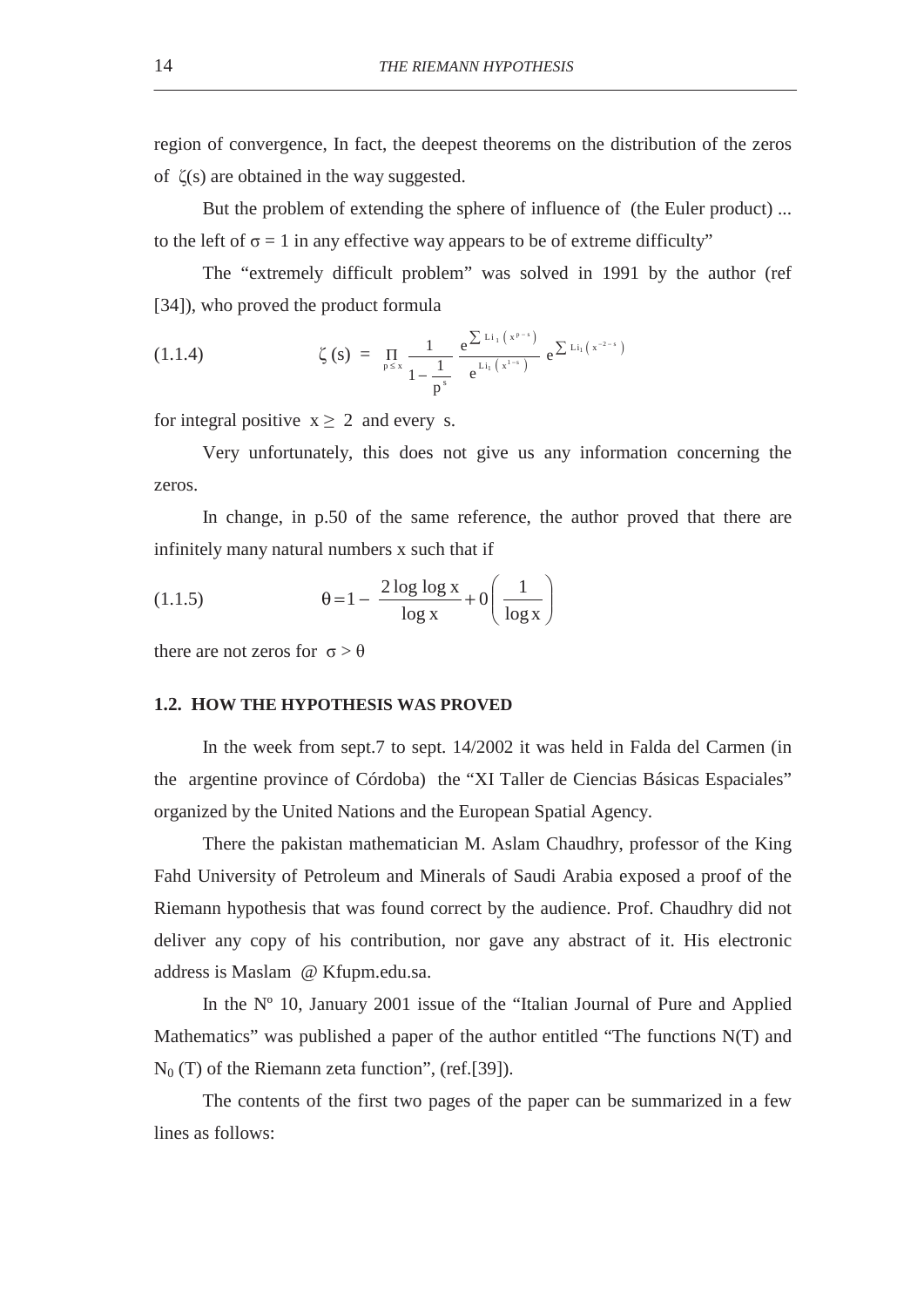region of convergence, In fact, the deepest theorems on the distribution of the zeros of  $\zeta(s)$  are obtained in the way suggested.

But the problem of extending the sphere of influence of (the Euler product) ... to the left of  $\sigma = 1$  in any effective way appears to be of extreme difficulty"

The "extremely difficult problem" was solved in 1991 by the author (ref [34]), who proved the product formula

(1.1.4) 
$$
\zeta(s) = \prod_{p \le x} \frac{1}{1 - \frac{1}{p^s}} e^{\frac{\sum \text{Li}_1(x^{p-s})}{e^{\text{Li}_1(x^{1-s})}}} e^{\sum \text{Li}_1(x^{2-s})}
$$

for integral positive  $x \ge 2$  and every s.

Very unfortunately, this does not give us any information concerning the zeros.

In change, in p.50 of the same reference, the author proved that there are infinitely many natural numbers x such that if

(1.1.5) 
$$
\theta = 1 - \frac{2 \log \log x}{\log x} + 0 \left( \frac{1}{\log x} \right)
$$

there are not zeros for  $\sigma > \theta$ 

## **1.2. HOW THE HYPOTHESIS WAS PROVED**

In the week from sept.7 to sept. 14/2002 it was held in Falda del Carmen (in the argentine province of Córdoba) the "XI Taller de Ciencias Básicas Espaciales" organized by the United Nations and the European Spatial Agency.

There the pakistan mathematician M. Aslam Chaudhry, professor of the King Fahd University of Petroleum and Minerals of Saudi Arabia exposed a proof of the Riemann hypothesis that was found correct by the audience. Prof. Chaudhry did not deliver any copy of his contribution, nor gave any abstract of it. His electronic address is Maslam @ Kfupm.edu.sa.

In the Nº 10, January 2001 issue of the "Italian Journal of Pure and Applied Mathematics" was published a paper of the author entitled "The functions N(T) and  $N_0$  (T) of the Riemann zeta function", (ref.[39]).

The contents of the first two pages of the paper can be summarized in a few lines as follows: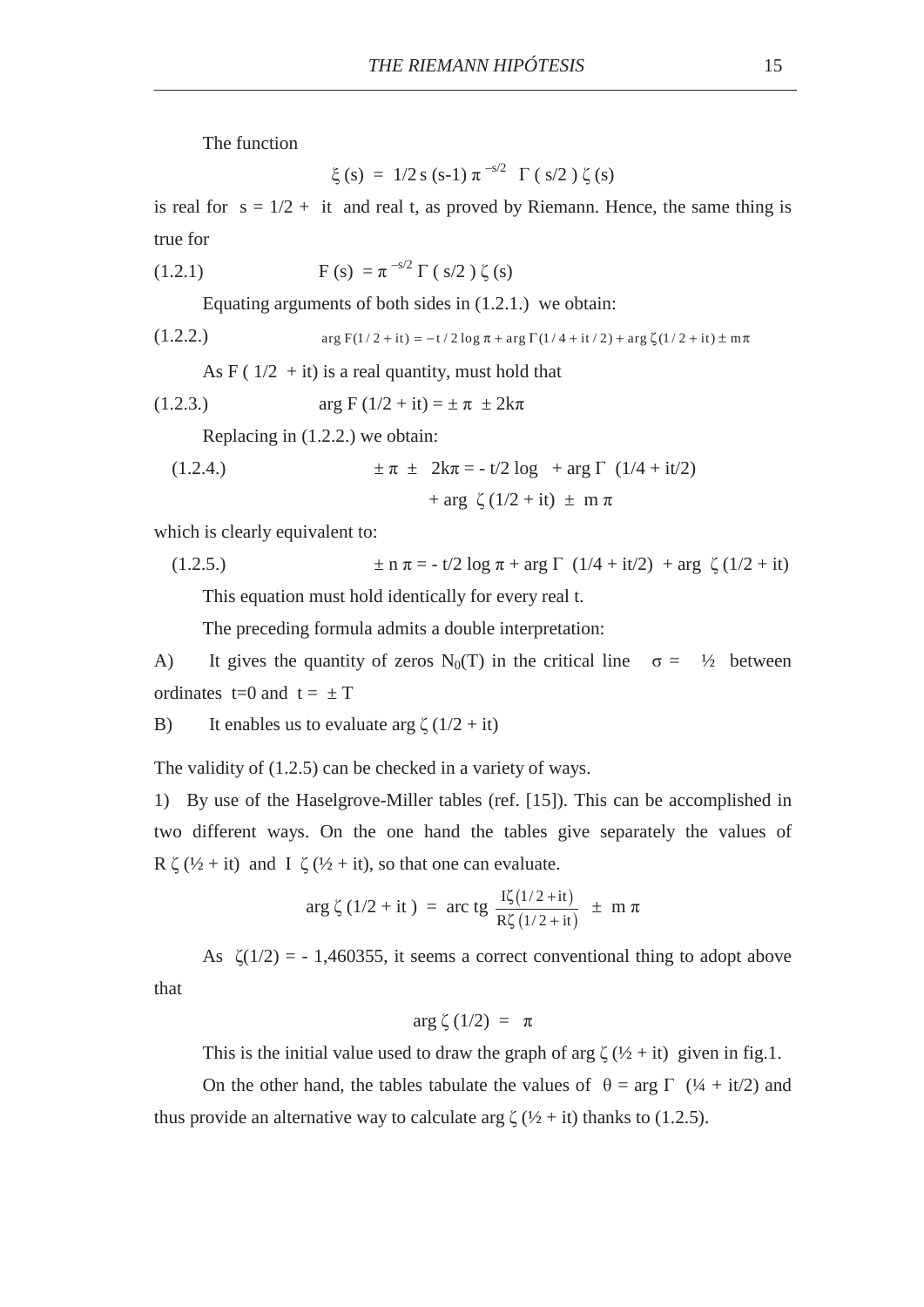The function

$$
\xi(s) = 1/2 s (s-1) \pi^{-s/2} \Gamma(s/2) \zeta(s)
$$

is real for  $s = 1/2 + it$  and real t, as proved by Riemann. Hence, the same thing is true for

(1.2.1) 
$$
F(s) = \pi^{-s/2} \Gamma(s/2) \zeta(s)
$$

Equating arguments of both sides in (1.2.1.) we obtain:

(1.2.2.) 
$$
\arg F(1/2 + it) = -t/2 \log \pi + \arg \Gamma(1/4 + it/2) + \arg \zeta(1/2 + it) \pm m\pi
$$

As F ( $1/2$  + it) is a real quantity, must hold that

(1.2.3.) 
$$
\arg F (1/2 + it) = \pm \pi \pm 2k\pi
$$

Replacing in (1.2.2.) we obtain:

(1.2.4.) 
$$
\pm \pi \pm 2k\pi = -t/2 \log + \arg \Gamma (1/4 + it/2) + \arg \zeta (1/2 + it) \pm m \pi
$$

which is clearly equivalent to:

(1.2.5.) 
$$
\pm n \pi = -t/2 \log \pi + \arg \Gamma (1/4 + it/2) + \arg \zeta (1/2 + it)
$$

This equation must hold identically for every real t.

The preceding formula admits a double interpretation:

A) It gives the quantity of zeros N<sub>0</sub>(T) in the critical line  $\sigma = \frac{1}{2}$  between ordinates  $t=0$  and  $t = \pm T$ 

B) It enables us to evaluate arg  $\zeta(1/2 + it)$ 

The validity of (1.2.5) can be checked in a variety of ways.

1) By use of the Haselgrove-Miller tables (ref. [15]). This can be accomplished in two different ways. On the one hand the tables give separately the values of R  $\zeta$  ( $\frac{1}{2}$  + it) and I  $\zeta$  ( $\frac{1}{2}$  + it), so that one can evaluate.

$$
\arg \zeta (1/2 + it) = \arctg \frac{I\zeta(1/2 + it)}{R\zeta(1/2 + it)} \pm m \pi
$$

As  $\zeta(1/2) = -1,460355$ , it seems a correct conventional thing to adopt above

that

$$
\arg \zeta(1/2) = \pi
$$

This is the initial value used to draw the graph of arg  $\zeta$  ( $\frac{1}{2}$  + it) given in fig.1.

On the other hand, the tables tabulate the values of  $\theta = \arg \Gamma$  (1/4 + it/2) and thus provide an alternative way to calculate arg  $\zeta$  ( $\frac{1}{2}$  + it) thanks to (1.2.5).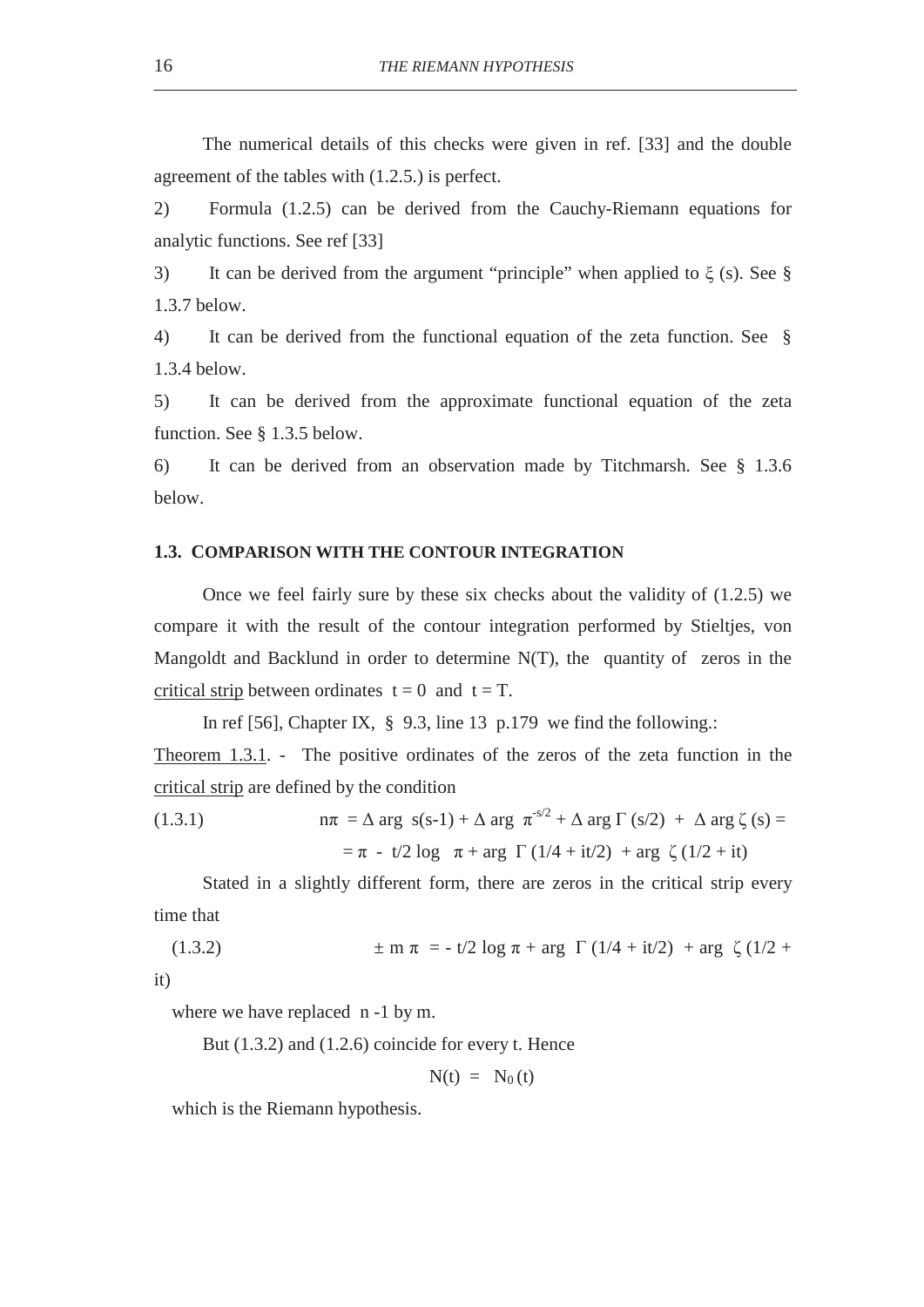The numerical details of this checks were given in ref. [33] and the double agreement of the tables with (1.2.5.) is perfect.

2) Formula (1.2.5) can be derived from the Cauchy-Riemann equations for analytic functions. See ref [33]

3) It can be derived from the argument "principle" when applied to  $\xi$  (s). See § 1.3.7 below.

4) It can be derived from the functional equation of the zeta function. See § 1.3.4 below.

5) It can be derived from the approximate functional equation of the zeta function. See § 1.3.5 below.

6) It can be derived from an observation made by Titchmarsh. See § 1.3.6 below.

## **1.3. COMPARISON WITH THE CONTOUR INTEGRATION**

Once we feel fairly sure by these six checks about the validity of (1.2.5) we compare it with the result of the contour integration performed by Stieltjes, von Mangoldt and Backlund in order to determine N(T), the quantity of zeros in the critical strip between ordinates  $t = 0$  and  $t = T$ .

In ref [56], Chapter IX,  $\frac{8}{9}$ , 9.3, line 13 p.179 we find the following.:

Theorem 1.3.1. - The positive ordinates of the zeros of the zeta function in the critical strip are defined by the condition

(1.3.1) 
$$
n\pi = \Delta \arg s(s-1) + \Delta \arg \pi^{s/2} + \Delta \arg \Gamma (s/2) + \Delta \arg \zeta (s) =
$$

$$
= \pi - t/2 \log \pi + \arg \Gamma (1/4 + it/2) + \arg \zeta (1/2 + it)
$$

Stated in a slightly different form, there are zeros in the critical strip every time that

(1.3.2) 
$$
\pm m \pi = -t/2 \log \pi + \arg \Gamma (1/4 + it/2) + \arg \zeta (1/2 +
$$

it)

where we have replaced n -1 by m.

But (1.3.2) and (1.2.6) coincide for every t. Hence

$$
N(t) = N_0(t)
$$

which is the Riemann hypothesis.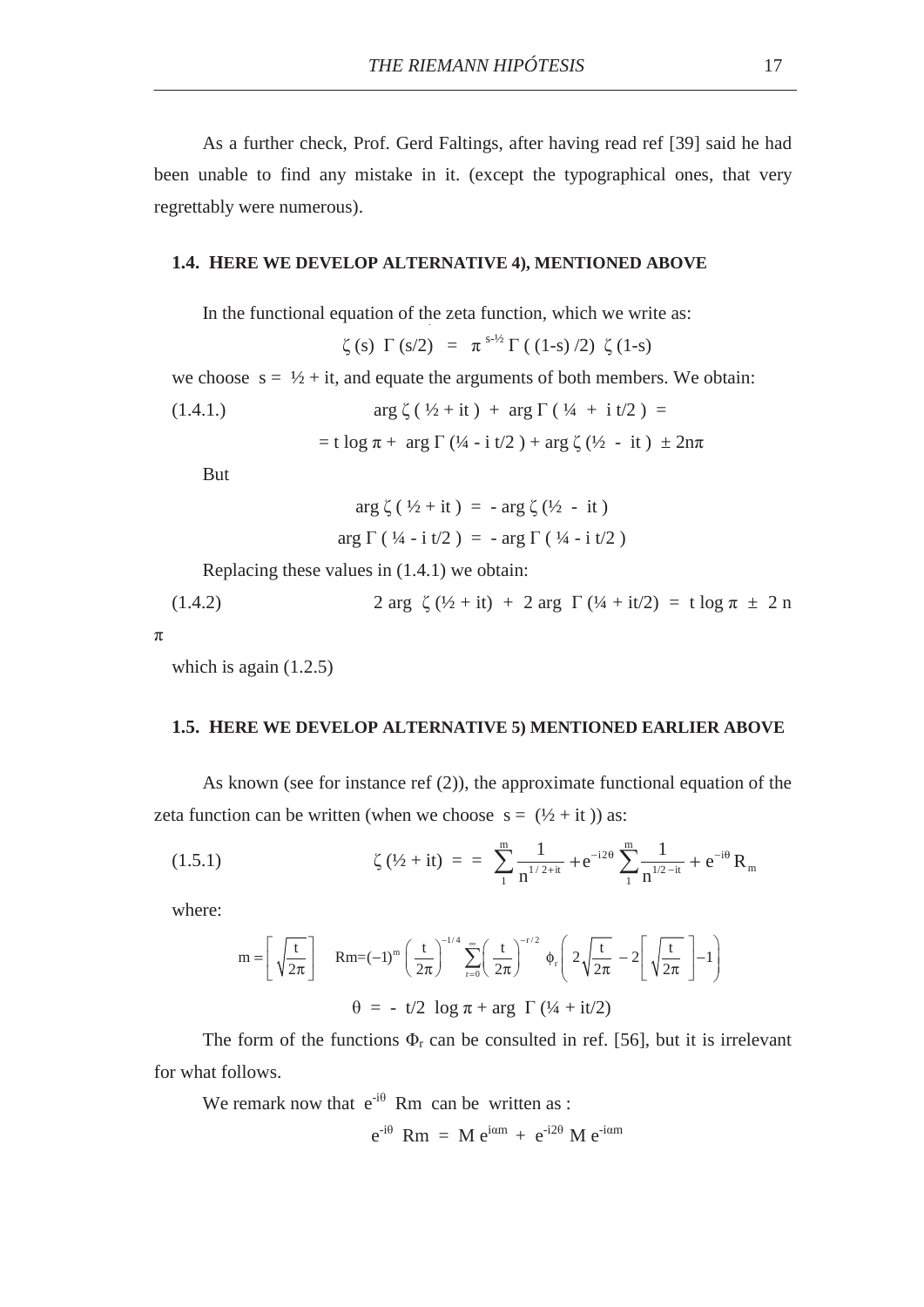As a further check, Prof. Gerd Faltings, after having read ref [39] said he had been unable to find any mistake in it. (except the typographical ones, that very regrettably were numerous).

## **1.4. HERE WE DEVELOP ALTERNATIVE 4), MENTIONED ABOVE**

In the functional equation of the zeta function, which we write as:

$$
\zeta(s) \Gamma(s/2) = \pi^{s-1/2} \Gamma((1-s)/2) \zeta(1-s)
$$

we choose  $s = \frac{1}{2} + it$ , and equate the arguments of both members. We obtain:

(1.4.1.) 
$$
\arg \zeta (\frac{1}{2} + it) + \arg \Gamma (\frac{1}{4} + it/2) =
$$

$$
= t \log \pi + \arg \Gamma (\frac{1}{4} - it/2) + \arg \zeta (\frac{1}{2} - it) \pm 2n\pi
$$

But

$$
\arg \zeta (\frac{1}{2} + it) = - \arg \zeta (\frac{1}{2} - it)
$$
  
arg  $\Gamma (\frac{1}{4} - i t/2) = - \arg \Gamma (\frac{1}{4} - i t/2)$ 

Replacing these values in (1.4.1) we obtain:

(1.4.2) 
$$
2 \arg \zeta (1/2 + it) + 2 \arg \Gamma (1/4 + it/2) = t \log \pi \pm 2 n
$$

 $\pi$ 

which is again  $(1.2.5)$ 

#### **1.5. HERE WE DEVELOP ALTERNATIVE 5) MENTIONED EARLIER ABOVE**

As known (see for instance ref (2)), the approximate functional equation of the zeta function can be written (when we choose  $s = (\frac{1}{2} + it)$ ) as:

(1.5.1) 
$$
\zeta(\frac{1}{2} + it) = \sum_{1}^{m} \frac{1}{n^{1/2+it}} + e^{-i2\theta} \sum_{1}^{m} \frac{1}{n^{1/2-it}} + e^{-i\theta} R_m
$$

where:

$$
m = \left[ \sqrt{\frac{t}{2\pi}} \right] \quad Rm = (-1)^m \left( \frac{t}{2\pi} \right)^{-1/4} \sum_{r=0}^{\infty} \left( \frac{t}{2\pi} \right)^{-r/2} \phi_r \left( 2\sqrt{\frac{t}{2\pi}} - 2 \left[ \sqrt{\frac{t}{2\pi}} \right] - 1 \right)
$$
  

$$
\theta = -t/2 \log \pi + \arg \Gamma (1/4 + it/2)
$$

The form of the functions  $\Phi_r$  can be consulted in ref. [56], but it is irrelevant for what follows.

We remark now that  $e^{-i\theta}$  Rm can be written as :

$$
e^{-i\theta} \, Rm = M e^{i\alpha m} + e^{-i2\theta} M e^{-i\alpha m}
$$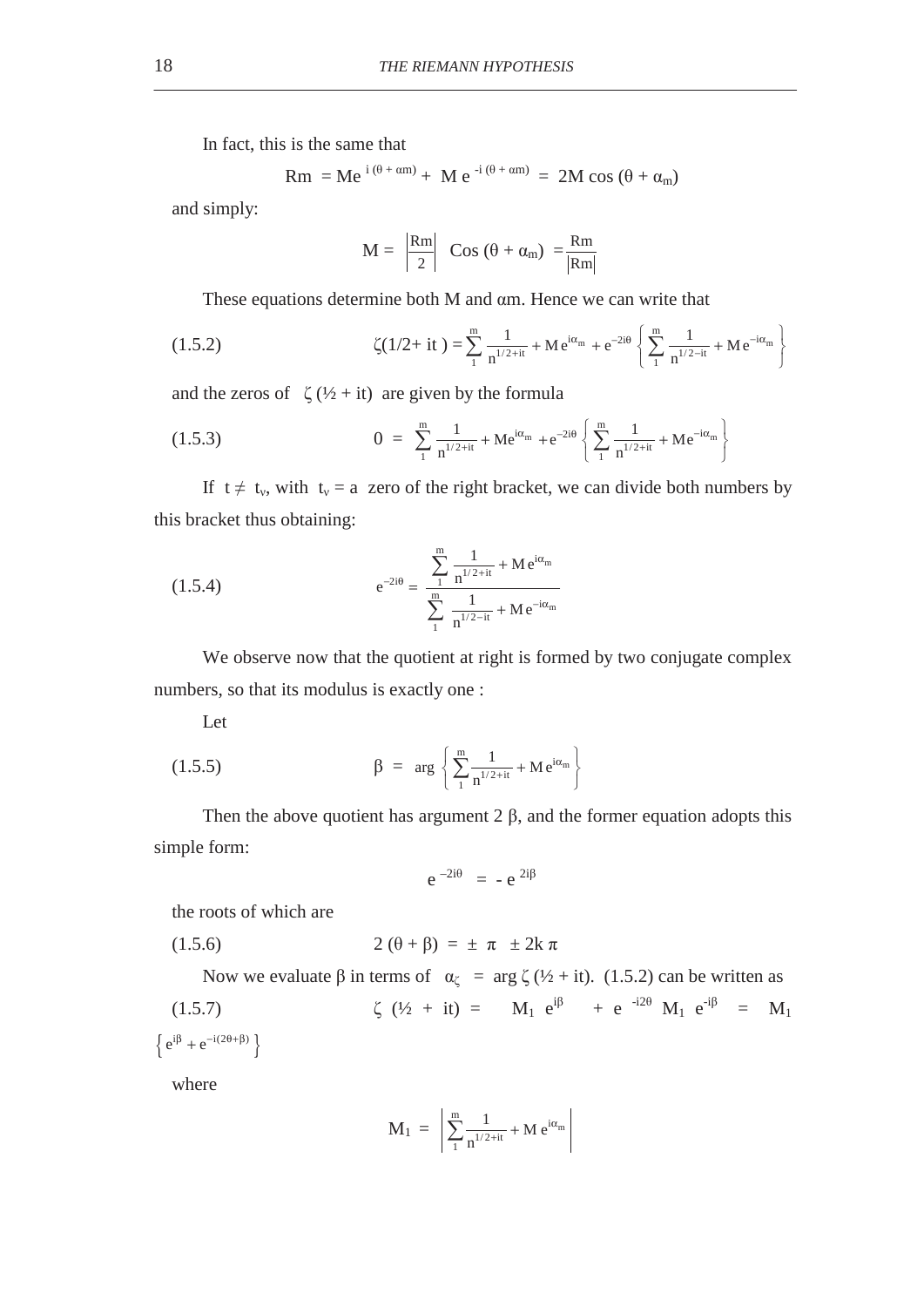In fact, this is the same that

$$
Rm = Me^{i(\theta + \alpha m)} + Me^{-i(\theta + \alpha m)} = 2M \cos (\theta + \alpha_m)
$$

and simply:

$$
M = \left| \frac{Rm}{2} \right| \cos (\theta + \alpha_m) = \frac{Rm}{|Rm|}
$$

These equations determine both  $M$  and  $\alpha$ m. Hence we can write that

(1.5.2) 
$$
\zeta(1/2 + it) = \sum_{1}^{m} \frac{1}{n^{1/2+it}} + Me^{i\alpha_m} + e^{-2i\theta} \left\{ \sum_{1}^{m} \frac{1}{n^{1/2-it}} + Me^{-i\alpha_m} \right\}
$$

and the zeros of  $\zeta$  (½ + it) are given by the formula

(1.5.3) 
$$
0 = \sum_{1}^{m} \frac{1}{n^{1/2+it}} + Me^{i\alpha_m} + e^{-2i\theta} \left\{ \sum_{1}^{m} \frac{1}{n^{1/2+it}} + Me^{-i\alpha_m} \right\}
$$

If  $t \neq t_v$ , with  $t_v = a$  zero of the right bracket, we can divide both numbers by this bracket thus obtaining:

(1.5.4) 
$$
e^{-2i\theta} = \frac{\sum_{1}^{m} \frac{1}{n^{1/2+it}} + Me^{i\alpha_m}}{\sum_{1}^{m} \frac{1}{n^{1/2-it}} + Me^{-i\alpha_m}}
$$

We observe now that the quotient at right is formed by two conjugate complex numbers, so that its modulus is exactly one :

Let

(1.5.5) 
$$
\beta = \arg \left\{ \sum_{1}^{m} \frac{1}{n^{1/2 + it}} + Me^{i\alpha_m} \right\}
$$

Then the above quotient has argument  $2 \beta$ , and the former equation adopts this simple form:

$$
e^{-2i\theta} = -e^{2i\beta}
$$

the roots of which are

$$
(1.5.6) \qquad \qquad 2\left(\theta + \beta\right) = \pm \pi \pm 2k \pi
$$

Now we evaluate  $\beta$  in terms of  $\alpha_{\zeta} = \arg \zeta (1/2 + it)$ . (1.5.2) can be written as (1.5.7)  $\zeta$  ( $\frac{1}{2}$  + it) =  $M_1 e^{i\beta}$  + e  $^{-i2\theta}$   $M_1 e^{i\beta}$  =  $M_1$  ${e^{i\beta} + e^{-i(2\theta+\beta)}}$ 

where

$$
M_1 = \left| \sum_{1}^{m} \frac{1}{n^{1/2+it}} + M e^{i\alpha_m} \right|
$$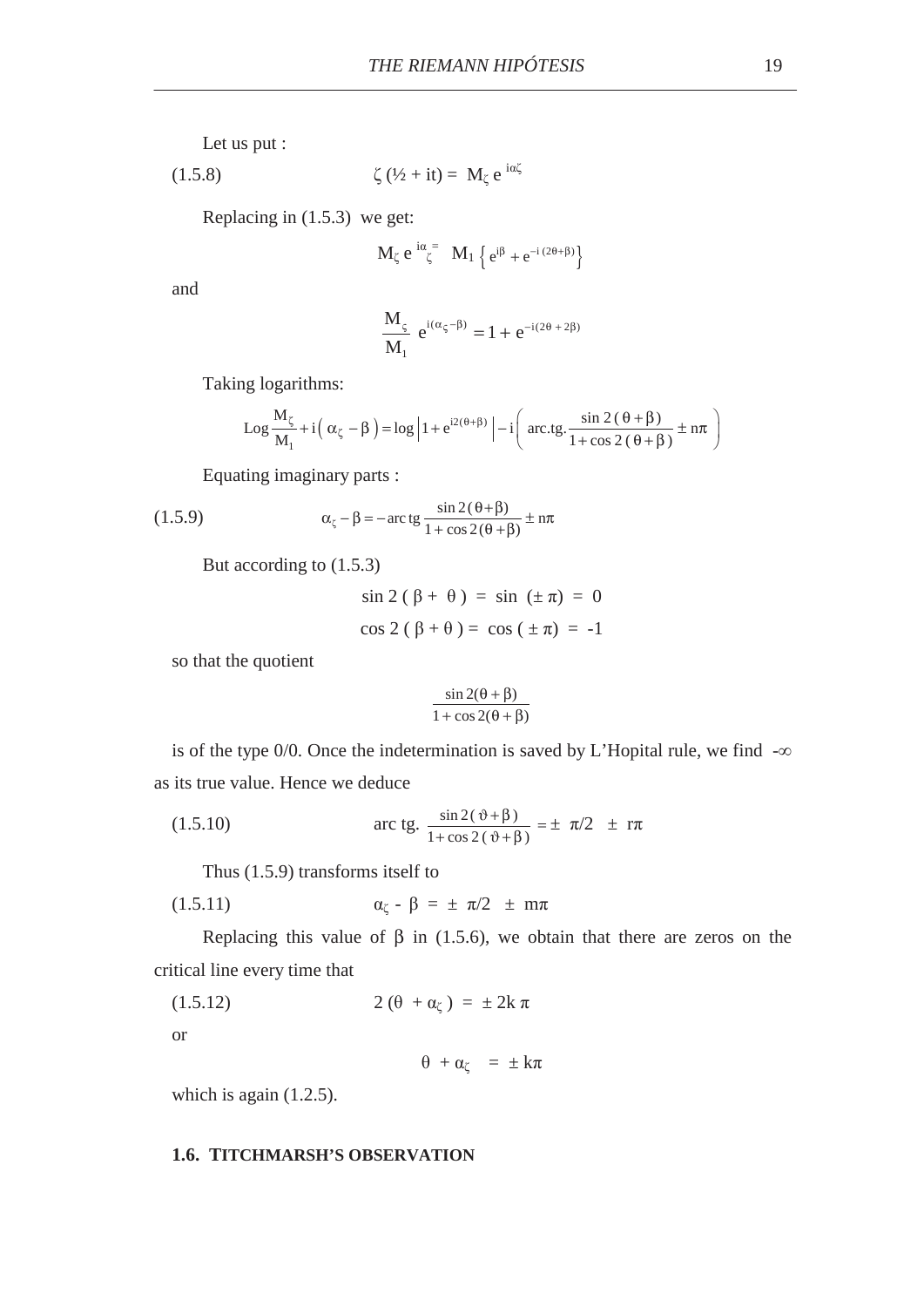Let us put :

$$
(1.5.8) \t\t\t \zeta (\frac{1}{2} + it) = M_{\zeta} e^{i\alpha \zeta}
$$

Replacing in (1.5.3) we get:

$$
M_\zeta\ e^{\,i\alpha}\zeta^{\,=}\ M_1\ \Big\{\,e^{i\beta}+e^{-i\,(2\theta+\beta)}\Big\}
$$

and

$$
\frac{M_{\varsigma}}{M_1}\ e^{i(\alpha_{\varsigma}-\beta)}=1+e^{-i(2\theta+2\beta)}
$$

Taking logarithms:

$$
Log \frac{M_{\zeta}}{M_{1}} + i\left(\alpha_{\zeta} - \beta\right) = log \left|1 + e^{i2(\theta + \beta)}\right| - i\left(arctg.\frac{sin 2(\theta + \beta)}{1 + cos 2(\theta + \beta)} \pm n\pi\right)
$$

Equating imaginary parts :

(1.5.9) 
$$
\alpha_{\zeta} - \beta = -\arctan{\frac{\sin 2(\theta + \beta)}{1 + \cos 2(\theta + \beta)}} \pm \pi
$$

But according to (1.5.3)

$$
\sin 2(\beta + \theta) = \sin (\pm \pi) = 0
$$
  

$$
\cos 2(\beta + \theta) = \cos (\pm \pi) = -1
$$

so that the quotient

$$
\frac{\sin 2(\theta + \beta)}{1 + \cos 2(\theta + \beta)}
$$

is of the type 0/0. Once the indetermination is saved by L'Hopital rule, we find  $-\infty$ as its true value. Hence we deduce

(1.5.10) 
$$
\arct{tg.} \frac{\sin 2(\vartheta + \beta)}{1 + \cos 2(\vartheta + \beta)} = \pm \pi/2 \pm r\pi
$$

Thus (1.5.9) transforms itself to

$$
\alpha_{\zeta} - \beta = \pm \pi/2 \pm m\pi
$$

Replacing this value of  $\beta$  in (1.5.6), we obtain that there are zeros on the critical line every time that

$$
(1.5.12) \t 2(\theta + \alpha_{\zeta}) = \pm 2k \pi
$$

or

$$
\theta + \alpha_{\zeta} = \pm k\pi
$$

which is again  $(1.2.5)$ .

#### **1.6. TITCHMARSH'S OBSERVATION**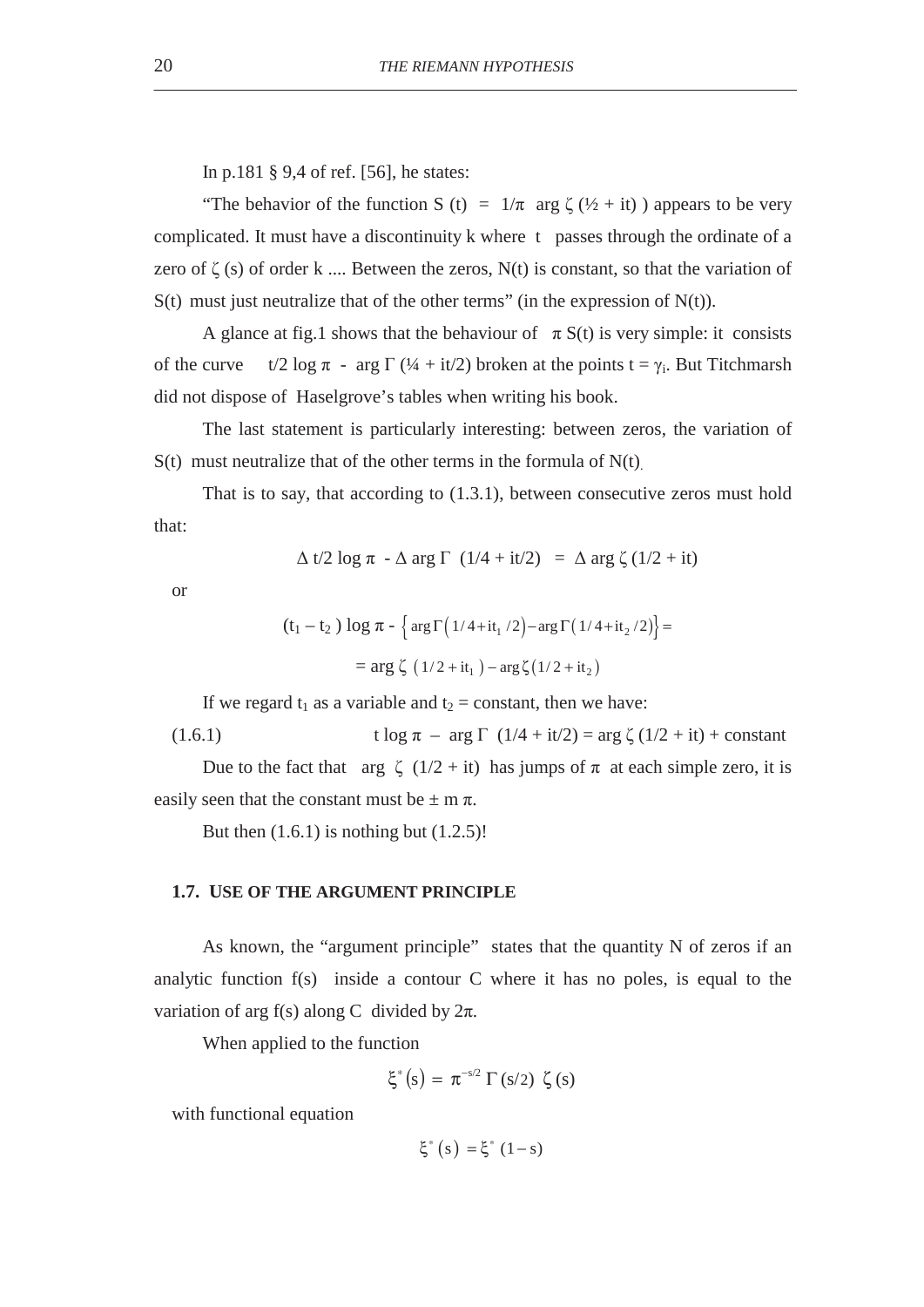In p.181 § 9,4 of ref. [56], he states:

"The behavior of the function S (t) =  $1/\pi$  arg  $\zeta$  ( $\frac{1}{2}$  + it) ) appears to be very complicated. It must have a discontinuity k where t passes through the ordinate of a zero of  $\zeta$  (s) of order k .... Between the zeros, N(t) is constant, so that the variation of  $S(t)$  must just neutralize that of the other terms" (in the expression of  $N(t)$ ).

A glance at fig.1 shows that the behaviour of  $\pi S(t)$  is very simple: it consists of the curve  $t/2 \log \pi$  - arg  $\Gamma$  (¼ + it/2) broken at the points  $t = \gamma_i$ . But Titchmarsh did not dispose of Haselgrove's tables when writing his book.

The last statement is particularly interesting: between zeros, the variation of  $S(t)$  must neutralize that of the other terms in the formula of  $N(t)$ .

That is to say, that according to (1.3.1), between consecutive zeros must hold that:

$$
\Delta t/2 \log \pi - \Delta \arg \Gamma (1/4 + it/2) = \Delta \arg \zeta (1/2 + it)
$$

or

$$
(t_1 - t_2) \log \pi - \left\{ \arg \Gamma \left( \frac{1}{4} + it_1 / 2 \right) - \arg \Gamma \left( \frac{1}{4} + it_2 / 2 \right) \right\} =
$$
  
= arg  $\zeta \left( \frac{1}{2} + it_1 \right) - \arg \zeta \left( \frac{1}{2} + it_2 \right)$ 

If we regard  $t_1$  as a variable and  $t_2$  = constant, then we have:

(1.6.1) 
$$
t \log \pi - \arg \Gamma (1/4 + it/2) = \arg \zeta (1/2 + it) + constant
$$

Due to the fact that arg  $\zeta$  (1/2 + it) has jumps of  $\pi$  at each simple zero, it is easily seen that the constant must be  $\pm$  m  $\pi$ .

But then  $(1.6.1)$  is nothing but  $(1.2.5)!$ 

# **1.7. USE OF THE ARGUMENT PRINCIPLE**

As known, the "argument principle" states that the quantity N of zeros if an analytic function f(s) inside a contour C where it has no poles, is equal to the variation of arg f(s) along C divided by  $2\pi$ .

When applied to the function

$$
\xi^*(s) = \pi^{-s/2} \Gamma(s/2) \zeta(s)
$$

with functional equation

$$
\xi^*\left(s\right) = \xi^*\left(1 - s\right)
$$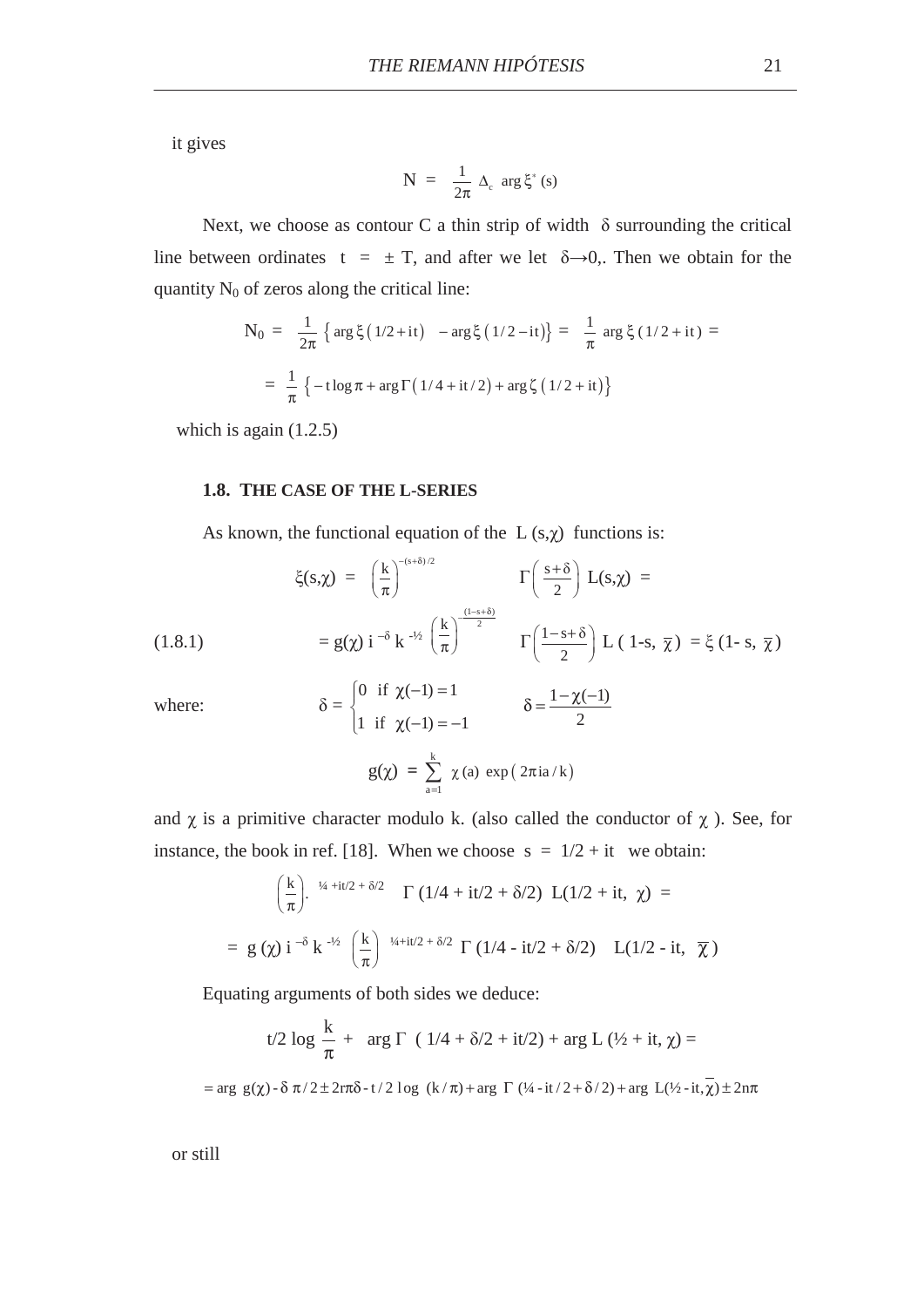it gives

$$
N = \frac{1}{2\pi} \Delta_c \arg \xi^*(s)
$$

Next, we choose as contour C a thin strip of width  $\delta$  surrounding the critical line between ordinates t =  $\pm$  T, and after we let  $\delta \rightarrow 0$ . Then we obtain for the quantity  $N_0$  of zeros along the critical line:

$$
N_0 = \frac{1}{2\pi} \left\{ \arg \xi \left( \frac{1}{2} + it \right) - \arg \xi \left( \frac{1}{2} - it \right) \right\} = \frac{1}{\pi} \arg \xi \left( \frac{1}{2} + it \right) =
$$

$$
= \frac{1}{\pi} \left\{ -t \log \pi + \arg \Gamma \left( \frac{1}{4} + it \right) + \arg \zeta \left( \frac{1}{2} + it \right) \right\}
$$

which is again  $(1.2.5)$ 

## **1.8. THE CASE OF THE L-SERIES**

 $\Big\}$ 

As known, the functional equation of the  $L(s, \chi)$  functions is:

$$
\xi(s,\chi) = \left(\frac{k}{\pi}\right)^{-(s+\delta)/2} \Gamma\left(\frac{s+\delta}{2}\right) L(s,\chi) =
$$
\n
$$
= g(\chi) i^{-\delta} k^{-\frac{1}{2}} \left(\frac{k}{\pi}\right)^{\frac{(1-s+\delta)}{2}} \Gamma\left(\frac{1-s+\delta}{2}\right) L(1-s, \overline{\chi}) = \xi (1-s, \overline{\chi})
$$
\n
$$
= \left(0 \text{ if } \chi(-1) = 1 \right) \qquad 1-\gamma(-1)
$$

where:

$$
\begin{cases}\n0 & \text{if } \chi(-1) = 1 \\
1 & \text{if } \chi(-1) = -1\n\end{cases} \qquad \delta = \frac{1 - \chi(-1)}{2}
$$
\n
$$
g(\chi) = \sum_{a=1}^{k} \chi(a) \exp(2\pi i a/k)
$$

and  $\chi$  is a primitive character modulo k. (also called the conductor of  $\chi$ ). See, for instance, the book in ref. [18]. When we choose  $s = 1/2 + it$  we obtain:

$$
\left(\frac{k}{\pi}\right)^{4+it/2+\delta/2} \Gamma(1/4+it/2+\delta/2) L(1/2+it, \chi) =
$$
  
= g(\chi) i<sup>- $\delta$</sup>  k<sup>- $\frac{1}{2}$</sup>   $\left(\frac{k}{\pi}\right)^{-1/4+it/2+\delta/2} \Gamma(1/4-it/2+\delta/2) L(1/2-it, \overline{\chi})$ 

Equating arguments of both sides we deduce:

$$
t/2 \log \frac{k}{\pi} + \arg \Gamma (1/4 + \delta/2 + it/2) + \arg L (1/2 + it, \chi) =
$$
  
= arg g(\chi) - \delta \pi / 2 \pm 2r\pi \delta - t/2 \log (k/\pi) + arg \Gamma (1/4 - it/2 + \delta/2) + arg L(1/2 - it, \chi) \pm 2n\pi

or still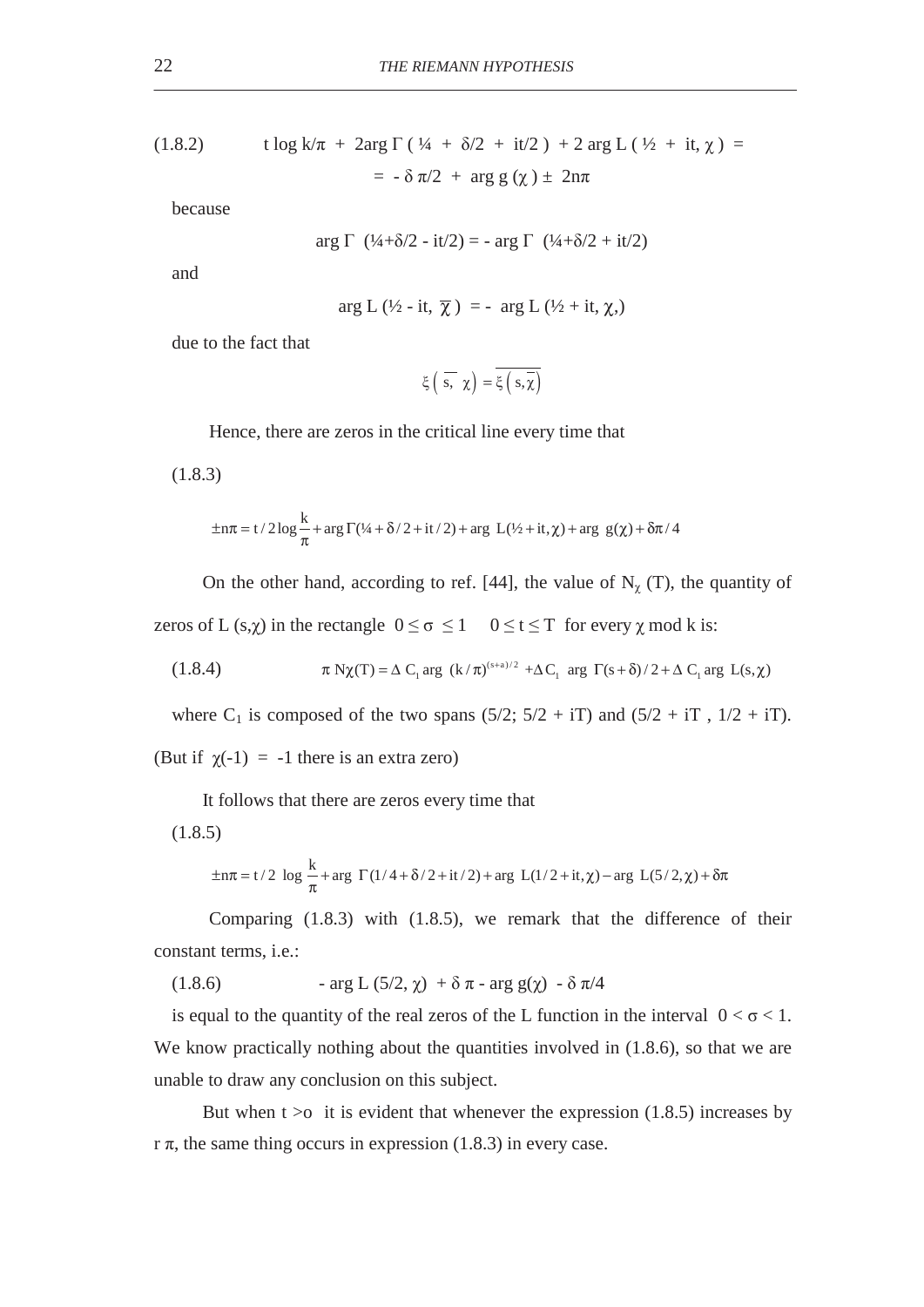(1.8.2) 
$$
\begin{aligned} \text{t log k/}\pi + 2\text{arg }\Gamma\left(\frac{1}{4} + \delta/2 + \text{it/2}\right) + 2\text{arg }\Gamma\left(\frac{1}{2} + \text{it, }\chi\right) &= \\ &= -\delta \pi/2 + \text{arg g }(\chi) \pm 2n\pi \end{aligned}
$$

because

$$
\arg \Gamma (1/4 + \delta/2 - it/2) = - \arg \Gamma (1/4 + \delta/2 + it/2)
$$

and

$$
\arg L\left(\frac{1}{2} - it, \overline{\chi}\right) = - \arg L\left(\frac{1}{2} + it, \chi\right)
$$

due to the fact that

$$
\xi\left(\ \overline{s,}\ \chi\right)=\overline{\xi\left(\ s,\overline{\chi}\right)}
$$

Hence, there are zeros in the critical line every time that

(1.8.3)

$$
\pm n\pi = t/2 \log \frac{k}{\pi} + \arg \Gamma(1/4 + \delta/2 + it/2) + \arg L(1/2 + it, \chi) + \arg g(\chi) + \delta \pi/4
$$

On the other hand, according to ref. [44], the value of  $N_{\chi}$  (T), the quantity of zeros of L (s, $\chi$ ) in the rectangle  $0 \le \sigma \le 1$   $0 \le t \le T$  for every  $\chi$  mod k is:

(1.8.4) 
$$
\pi N\chi(T) = \Delta C_1 \arg (k/\pi)^{(s+a)/2} + \Delta C_1 \arg \Gamma(s+\delta)/2 + \Delta C_1 \arg L(s,\chi)
$$

where C<sub>1</sub> is composed of the two spans  $(5/2; 5/2 + iT)$  and  $(5/2 + iT, 1/2 + iT)$ .

(But if 
$$
χ(–1) = -1
$$
 there is an extra zero)

It follows that there are zeros every time that

(1.8.5)

$$
\pm n\pi = t/2 \log \frac{k}{\pi} + \arg \Gamma(1/4 + \delta/2 + it/2) + \arg L(1/2 + it, \chi) - \arg L(5/2, \chi) + \delta \pi
$$

Comparing (1.8.3) with (1.8.5), we remark that the difference of their constant terms, i.e.:

(1.8.6) 
$$
- \arg L (5/2, \chi) + \delta \pi - \arg g(\chi) - \delta \pi/4
$$

is equal to the quantity of the real zeros of the L function in the interval  $0 < \sigma < 1$ . We know practically nothing about the quantities involved in  $(1.8.6)$ , so that we are unable to draw any conclusion on this subject.

But when  $t > o$  it is evident that whenever the expression  $(1.8.5)$  increases by  $r \pi$ , the same thing occurs in expression (1.8.3) in every case.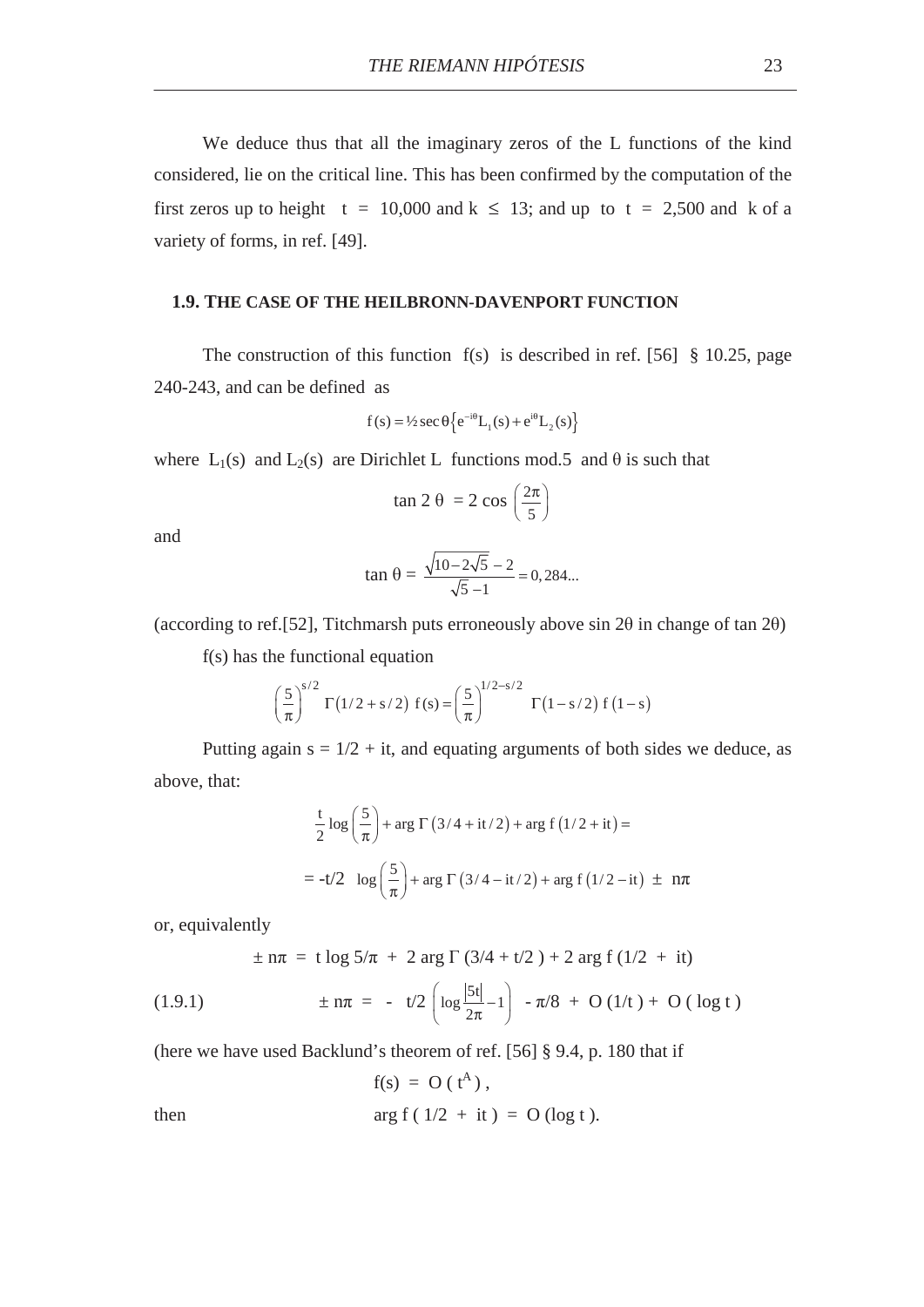We deduce thus that all the imaginary zeros of the L functions of the kind considered, lie on the critical line. This has been confirmed by the computation of the first zeros up to height t = 10,000 and k  $\leq$  13; and up to t = 2,500 and k of a variety of forms, in ref. [49].

#### **1.9. THE CASE OF THE HEILBRONN-DAVENPORT FUNCTION**

The construction of this function  $f(s)$  is described in ref. [56] § 10.25, page 240-243, and can be defined as

$$
f(s) = \frac{1}{2} \sec \theta \left\{ e^{-i\theta} L_1(s) + e^{i\theta} L_2(s) \right\}
$$

where  $L_1(s)$  and  $L_2(s)$  are Dirichlet L functions mod.5 and  $\theta$  is such that

$$
\tan 2 \theta = 2 \cos \left( \frac{2\pi}{5} \right)
$$

and

$$
\tan \theta = \frac{\sqrt{10 - 2\sqrt{5}} - 2}{\sqrt{5} - 1} = 0,284...
$$

(according to ref. [52], Titchmarsh puts erroneously above sin  $2\theta$  in change of tan  $2\theta$ )

f(s) has the functional equation

$$
\left(\frac{5}{\pi}\right)^{s/2} \Gamma(1/2 + s/2) f(s) = \left(\frac{5}{\pi}\right)^{1/2 - s/2} \Gamma(1 - s/2) f(1 - s)
$$

Putting again  $s = 1/2 + it$ , and equating arguments of both sides we deduce, as above, that:

$$
\frac{t}{2}\log\left(\frac{5}{\pi}\right) + \arg \Gamma\left(3/4 + \mathrm{i}t/2\right) + \arg f\left(1/2 + \mathrm{i}t\right) =
$$
\n
$$
= -t/2 \log\left(\frac{5}{\pi}\right) + \arg \Gamma\left(3/4 - \mathrm{i}t/2\right) + \arg f\left(1/2 - \mathrm{i}t\right) \pm n\pi
$$

or, equivalently

$$
\pm
$$
 n $\pi$  = t log 5/ $\pi$  + 2 arg  $\Gamma$  (3/4 + t/2) + 2 arg f (1/2 + it)

(1.9.1) 
$$
\pm n\pi = -t/2 \left( \log \frac{|5t|}{2\pi} - 1 \right) - \pi/8 + O(1/t) + O(\log t)
$$

(here we have used Backlund's theorem of ref. [56] § 9.4, p. 180 that if

$$
f(s) = O(tA),
$$
  
then 
$$
\arg f(1/2 + it) = O(\log t).
$$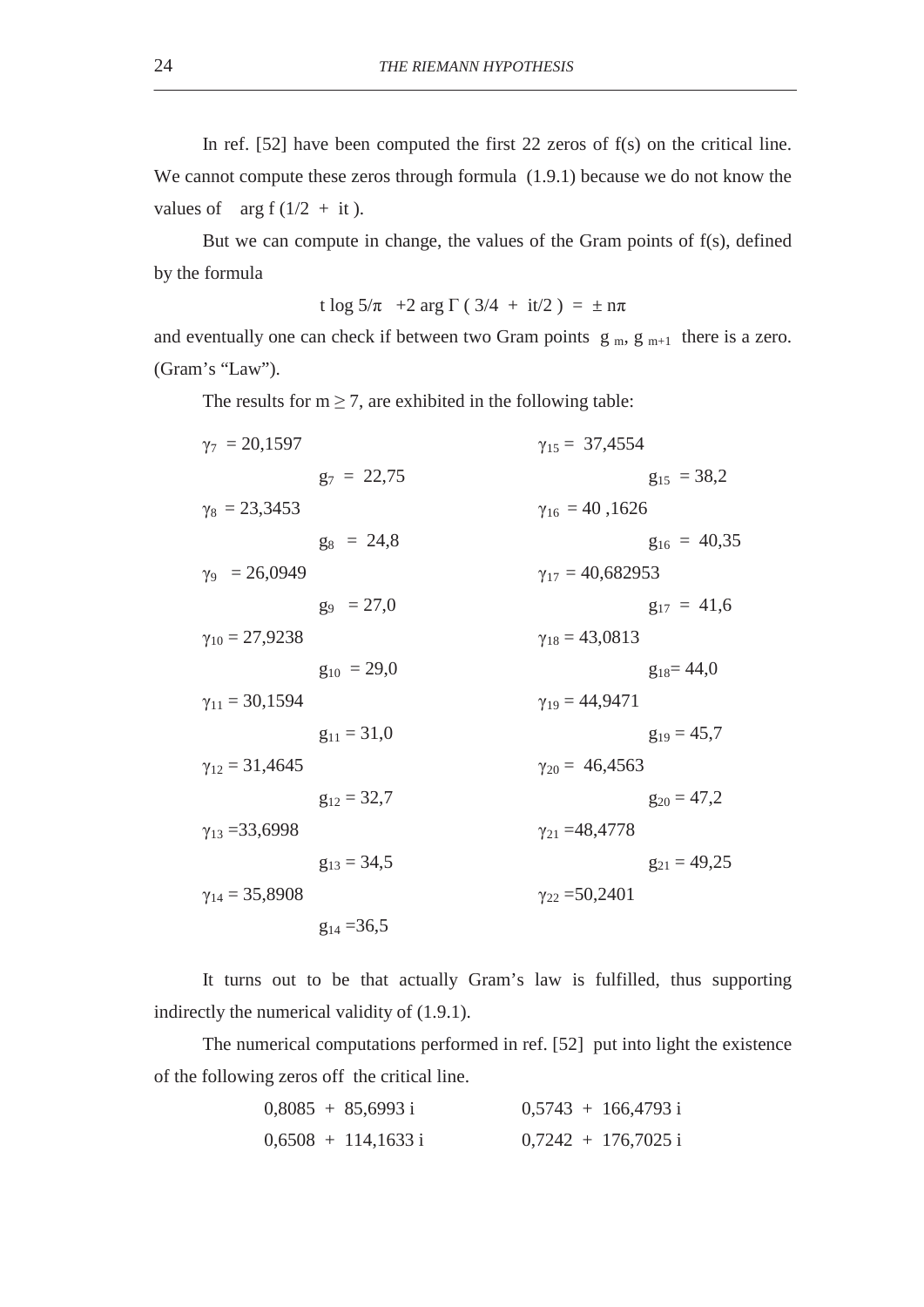In ref. [52] have been computed the first 22 zeros of f(s) on the critical line. We cannot compute these zeros through formula  $(1.9.1)$  because we do not know the values of arg f  $(1/2 + it)$ .

But we can compute in change, the values of the Gram points of f(s), defined by the formula

t log  $5/\pi$  +2 arg  $\Gamma$  (3/4 + it/2) =  $\pm$  n $\pi$ 

and eventually one can check if between two Gram points  $g_m$ ,  $g_{m+1}$  there is a zero. (Gram's "Law").

The results for  $m \ge 7$ , are exhibited in the following table:

| $\gamma_7 = 20,1597$    |                 | $\gamma_{15} = 37,4554$   |                  |
|-------------------------|-----------------|---------------------------|------------------|
|                         | $g_7 = 22,75$   |                           | $g_{15} = 38.2$  |
| $\gamma_8 = 23,3453$    |                 | $\gamma_{16} = 40,1626$   |                  |
|                         | $g_8 = 24.8$    |                           | $g_{16} = 40.35$ |
| $y_9 = 26,0949$         |                 | $\gamma_{17} = 40,682953$ |                  |
|                         | $g_9 = 27.0$    |                           | $g_{17} = 41,6$  |
| $\gamma_{10} = 27,9238$ |                 | $\gamma_{18} = 43,0813$   |                  |
|                         | $g_{10} = 29.0$ |                           | $g_{18} = 44.0$  |
| $\gamma_{11} = 30,1594$ |                 | $\gamma_{19} = 44,9471$   |                  |
|                         | $g_{11} = 31,0$ |                           | $g_{19} = 45.7$  |
| $\gamma_{12} = 31,4645$ |                 | $\gamma_{20} = 46,4563$   |                  |
|                         | $g_{12} = 32.7$ |                           | $g_{20} = 47.2$  |
| $\gamma_{13} = 33,6998$ |                 | $\gamma_{21} = 48,4778$   |                  |
|                         | $g_{13} = 34.5$ |                           | $g_{21} = 49,25$ |
| $\gamma_{14} = 35,8908$ |                 | $\gamma_{22} = 50,2401$   |                  |
|                         | $g_{14} = 36,5$ |                           |                  |

It turns out to be that actually Gram's law is fulfilled, thus supporting indirectly the numerical validity of (1.9.1).

The numerical computations performed in ref. [52] put into light the existence of the following zeros off the critical line.

|  | $0,8085 + 85,6993 \text{ i}$ |  | $0,5743 + 166,4793i$  |
|--|------------------------------|--|-----------------------|
|  | $0,6508 + 114,1633i$         |  | $0,7242 + 176,7025$ i |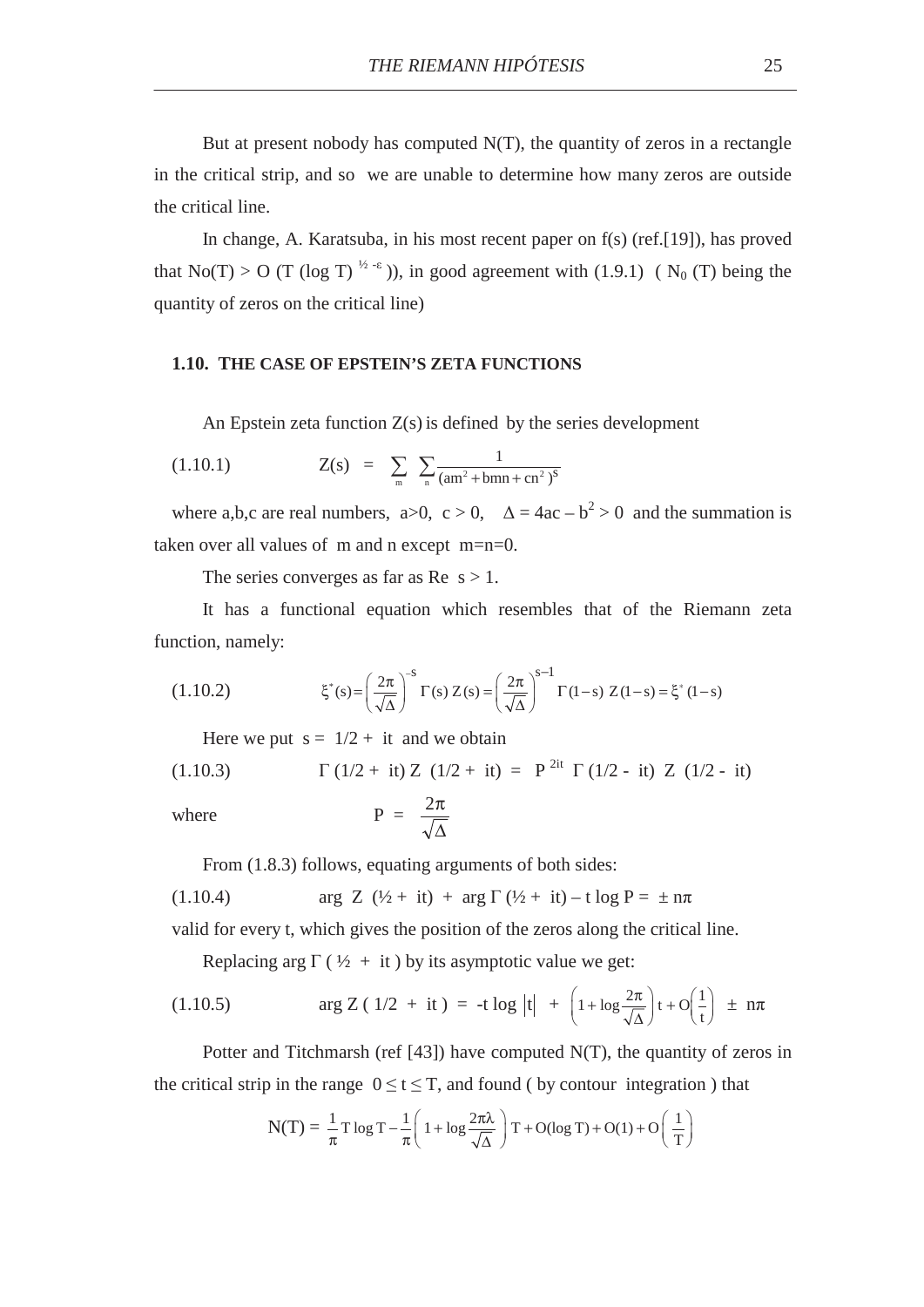But at present nobody has computed N(T), the quantity of zeros in a rectangle in the critical strip, and so we are unable to determine how many zeros are outside the critical line.

In change, A. Karatsuba, in his most recent paper on f(s) (ref.[19]), has proved that No(T) > O (T (log T)<sup> $\frac{1}{2}$ -ε)), in good agreement with (1.9.1) (N<sub>0</sub> (T) being the</sup> quantity of zeros on the critical line)

### **1.10. THE CASE OF EPSTEIN'S ZETA FUNCTIONS**

An Epstein zeta function  $Z(s)$  is defined by the series development

(1.10.1) 
$$
Z(s) = \sum_{m} \sum_{n} \frac{1}{(am^2 + bmn + cn^2)^s}
$$

where a,b,c are real numbers,  $a>0$ ,  $c>0$ ,  $\Delta = 4ac - b^2 > 0$  and the summation is taken over all values of m and n except m=n=0.

The series converges as far as  $Re s > 1$ .

It has a functional equation which resembles that of the Riemann zeta function, namely:

(1.10.2) 
$$
\xi^*(s) = \left(\frac{2\pi}{\sqrt{\Delta}}\right)^{-s} \Gamma(s) Z(s) = \left(\frac{2\pi}{\sqrt{\Delta}}\right)^{s-1} \Gamma(1-s) Z(1-s) = \xi^*(1-s)
$$

Here we put  $s = 1/2 + it$  and we obtain

(1.10.3) 
$$
\Gamma (1/2 + it) Z (1/2 + it) = P^{2it} \Gamma (1/2 - it) Z (1/2 - it)
$$

where P

$$
P = \frac{2\pi}{\sqrt{\Delta}}
$$

From  $(1.8.3)$  follows, equating arguments of both sides:

(1.10.4) 
$$
\arg Z (\frac{1}{2} + it) + \arg \Gamma (\frac{1}{2} + it) - t \log P = \pm n\pi
$$

valid for every t, which gives the position of the zeros along the critical line.

Replacing arg  $\Gamma$  ( $\frac{1}{2}$  + it) by its asymptotic value we get:

(1.10.5) 
$$
\arg Z (1/2 + it) = -t \log |t| + \left(1 + \log \frac{2\pi}{\sqrt{\Delta}}\right)t + O\left(\frac{1}{t}\right) \pm n\pi
$$

Potter and Titchmarsh (ref [43]) have computed N(T), the quantity of zeros in the critical strip in the range  $0 \le t \le T$ , and found ( by contour integration ) that

$$
N(T) = \frac{1}{\pi} T \log T - \frac{1}{\pi} \left( 1 + \log \frac{2\pi\lambda}{\sqrt{\Delta}} \right) T + O(\log T) + O(1) + O\left(\frac{1}{T}\right)
$$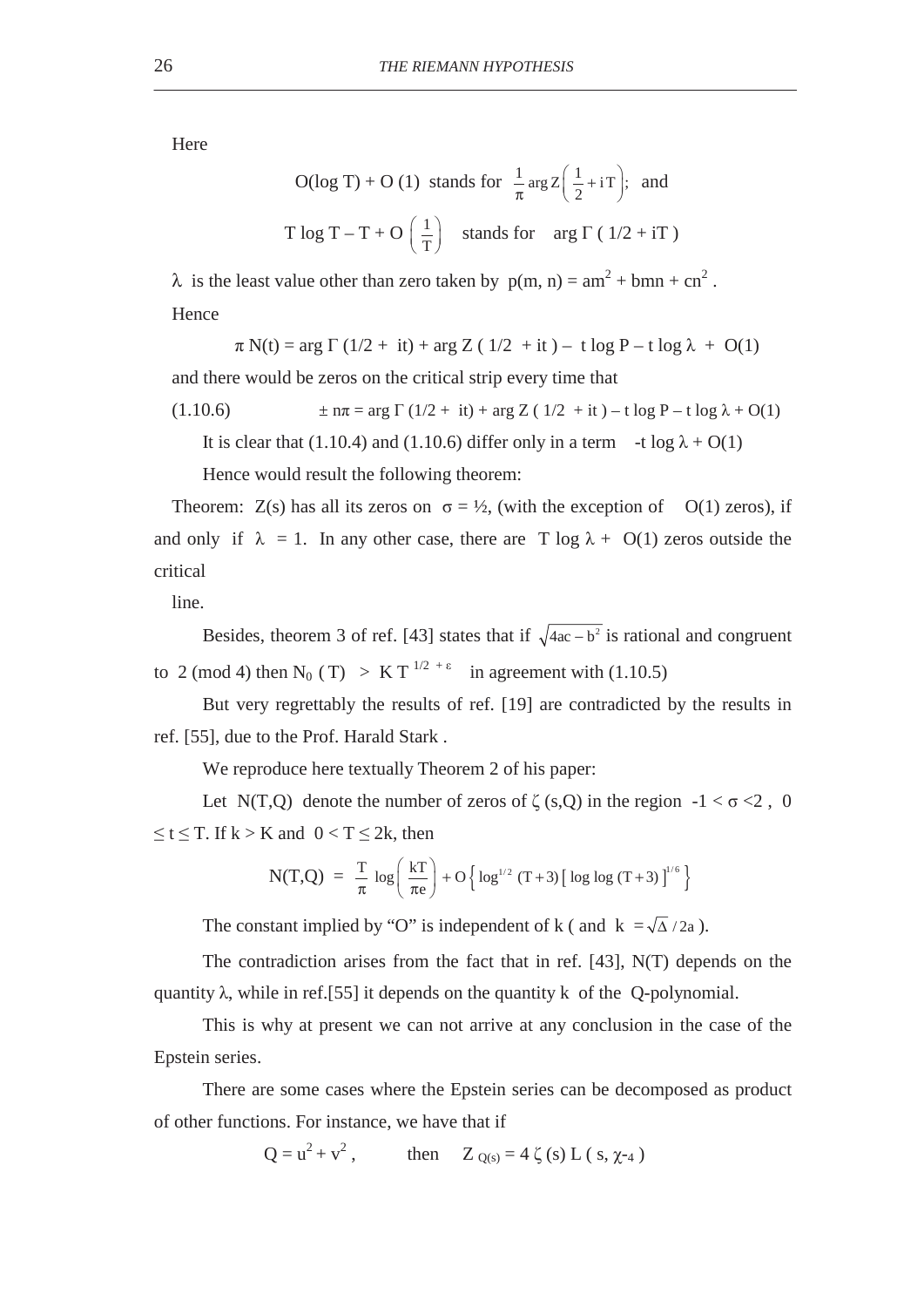Here

O(log T) + O (1) stands for 
$$
\frac{1}{\pi} \arg Z \left( \frac{1}{2} + iT \right)
$$
; and  
T log T – T + O  $\left( \frac{1}{T} \right)$  stands for arg  $\Gamma$  (1/2 + iT)

 $\lambda$  is the least value other than zero taken by  $p(m, n) = am^2 + bmn + cn^2$ . **Hence** 

$$
\pi\,N(t) = \arg\,\Gamma\,(1/2\,+\,it) + \arg\,Z\,(\,\,1/2\,\,+it\,) -\,t\,\log\,P - t\,\log\,\lambda\,\,+\,\,O(1)
$$

and there would be zeros on the critical strip every time that

(1.10.6) 
$$
\pm n\pi = \arg \Gamma (1/2 + it) + \arg Z (1/2 + it) - t \log P - t \log \lambda + O(1)
$$

It is clear that (1.10.4) and (1.10.6) differ only in a term  $-t \log \lambda + O(1)$ 

Hence would result the following theorem:

Theorem:  $Z(s)$  has all its zeros on  $\sigma = \frac{1}{2}$ , (with the exception of O(1) zeros), if and only if  $\lambda = 1$ . In any other case, there are T log  $\lambda + O(1)$  zeros outside the critical

line.

Besides, theorem 3 of ref. [43] states that if  $\sqrt{4ac-b^2}$  is rational and congruent to 2 (mod 4) then N<sub>0</sub> (T) > K T<sup> $1/2 + \epsilon$ </sup> in agreement with (1.10.5)

But very regrettably the results of ref. [19] are contradicted by the results in ref. [55], due to the Prof. Harald Stark .

We reproduce here textually Theorem 2 of his paper:

Let N(T,Q) denote the number of zeros of  $\zeta$  (s,Q) in the region  $-1 < \sigma < 2$ , 0  $\leq t \leq T$ . If  $k > K$  and  $0 < T \leq 2k$ , then

$$
N(T,Q) = \frac{T}{\pi} \log \left( \frac{kT}{\pi e} \right) + O \left\{ \log^{1/2} (T+3) \left[ \log \log (T+3) \right]^{1/6} \right\}
$$

The constant implied by "O" is independent of k ( and  $k = \sqrt{\Delta}/2a$  ).

The contradiction arises from the fact that in ref. [43], N(T) depends on the quantity  $\lambda$ , while in ref.[55] it depends on the quantity k of the Q-polynomial.

This is why at present we can not arrive at any conclusion in the case of the Epstein series.

There are some cases where the Epstein series can be decomposed as product of other functions. For instance, we have that if

> $Q = u^2 + v^2$ . then  $Z_{O(s)} = 4 \zeta(s) L(s, \chi_{-4})$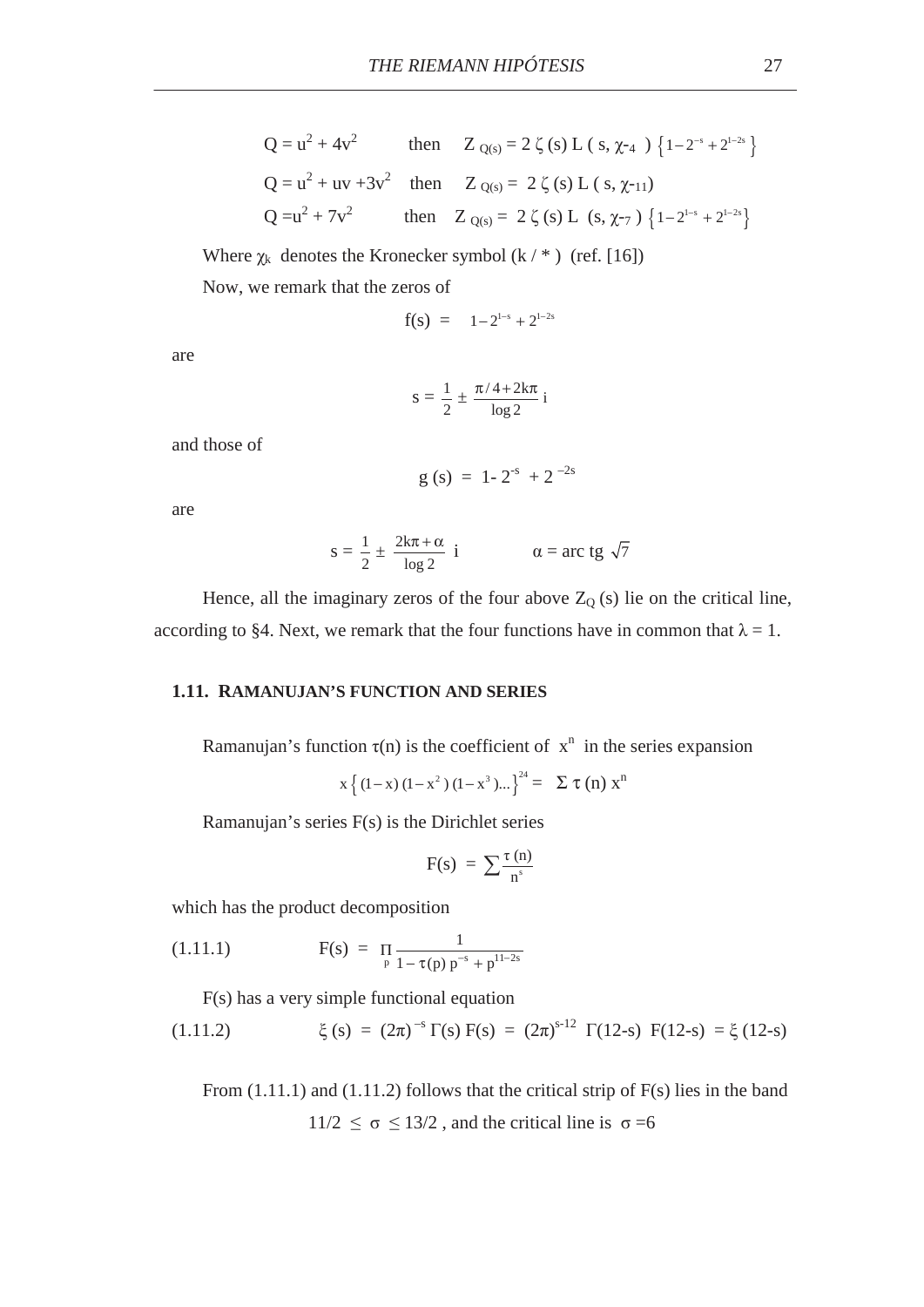$$
Q = u^{2} + 4v^{2} \qquad \text{then} \qquad Z_{Q(s)} = 2 \zeta(s) L (s, \chi_{-4}) \{1 - 2^{-s} + 2^{1-2s}\}
$$
\n
$$
Q = u^{2} + uv + 3v^{2} \qquad \text{then} \qquad Z_{Q(s)} = 2 \zeta(s) L (s, \chi_{-11})
$$
\n
$$
Q = u^{2} + 7v^{2} \qquad \text{then} \qquad Z_{Q(s)} = 2 \zeta(s) L (s, \chi_{-7}) \{1 - 2^{1-s} + 2^{1-2s}\}
$$

Where  $\chi_k$  denotes the Kronecker symbol (k / \* ) (ref. [16])

Now, we remark that the zeros of

$$
f(s) = 1 - 2^{1-s} + 2^{1-2s}
$$

are

$$
s=\frac{1}{2}\pm\frac{\pi/4{+}2k\pi}{\log 2}\,i
$$

and those of

$$
g(s) = 1 - 2^{-s} + 2^{-2s}
$$

are

$$
s = \frac{1}{2} \pm \frac{2k\pi + \alpha}{\log 2} \quad i \qquad \alpha = \text{arc tg } \sqrt{7}
$$

Hence, all the imaginary zeros of the four above  $Z_{Q}(s)$  lie on the critical line, according to §4. Next, we remark that the four functions have in common that  $\lambda = 1$ .

# **1.11. RAMANUJAN'S FUNCTION AND SERIES**

Ramanujan's function  $\tau(n)$  is the coefficient of  $x^n$  in the series expansion

$$
x\left\{(1-x)(1-x^2)(1-x^3)... \right\}^{24} = \sum \tau(n) x^n
$$

Ramanujan's series F(s) is the Dirichlet series

$$
F(s) = \sum \frac{\tau(n)}{n^s}
$$

which has the product decomposition

(1.11.1) 
$$
F(s) = \prod_{p} \frac{1}{1 - \tau(p) p^{-s} + p^{11-2s}}
$$

F(s) has a very simple functional equation

(1.11.2) 
$$
\xi(s) = (2\pi)^{-s} \Gamma(s) F(s) = (2\pi)^{s-12} \Gamma(12-s) F(12-s) = \xi(12-s)
$$

From  $(1.11.1)$  and  $(1.11.2)$  follows that the critical strip of F(s) lies in the band  $11/2 \leq \sigma \leq 13/2$ , and the critical line is  $\sigma = 6$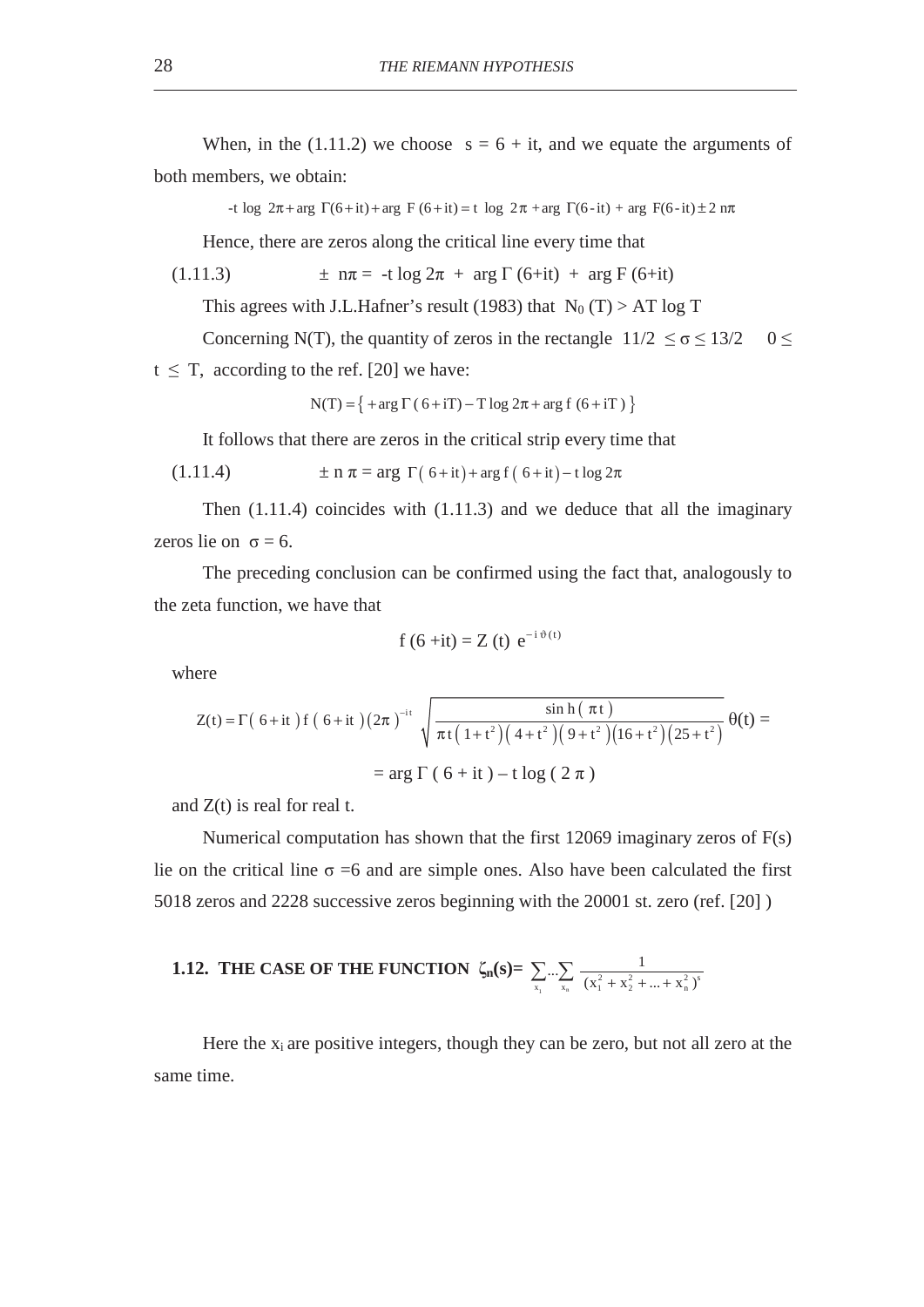When, in the (1.11.2) we choose  $s = 6 + it$ , and we equate the arguments of both members, we obtain:

-t log  $2\pi$ +arg  $\Gamma$ (6+it) + arg F(6+it) = t log  $2\pi$  + arg  $\Gamma$ (6-it) + arg F(6-it)  $\pm$  2 n $\pi$ 

Hence, there are zeros along the critical line every time that

(1.11.3) 
$$
\pm n\pi = -t \log 2\pi + \arg \Gamma (6+it) + \arg F (6+it)
$$

This agrees with J.L.Hafner's result (1983) that  $N_0(T) > AT \log T$ 

Concerning N(T), the quantity of zeros in the rectangle  $11/2 \le \sigma \le 13/2$  0

 $t \leq T$ , according to the ref. [20] we have:

$$
N(T) = \{ + arg \Gamma (6 + iT) - T log 2\pi + arg f (6 + iT) \}
$$

It follows that there are zeros in the critical strip every time that

(1.11.4) 
$$
\pm n \pi = \arg \Gamma(6 + it) + \arg f(6 + it) - t \log 2\pi
$$

Then (1.11.4) coincides with (1.11.3) and we deduce that all the imaginary zeros lie on  $\sigma = 6$ .

The preceding conclusion can be confirmed using the fact that, analogously to the zeta function, we have that

$$
f(6+it) = Z(t) e^{-i \vartheta(t)}
$$

where

$$
Z(t) = \Gamma(\ 6+it\ )f\ (\ 6+it\ ) (2\pi\ )^{-it} \sqrt{\frac{\sinh(\pi t\ )}{\pi t(1+t^2)(4+t^2)(9+t^2)(16+t^2)(25+t^2)}} \ \theta(t) =
$$
  
= arg  $\Gamma(\ 6+it\ ) - t \log(\ 2\ \pi\ )$ 

and  $Z(t)$  is real for real t.

Numerical computation has shown that the first 12069 imaginary zeros of F(s) lie on the critical line  $\sigma = 6$  and are simple ones. Also have been calculated the first 5018 zeros and 2228 successive zeros beginning with the 20001 st. zero (ref. [20] )

**1.12. THE CASE OF THE FUNCTION** 
$$
\zeta_n(s) = \sum_{x_1} ... \sum_{x_n} \frac{1}{(x_1^2 + x_2^2 + ... + x_n^2)^s}
$$

Here the  $x_i$  are positive integers, though they can be zero, but not all zero at the same time.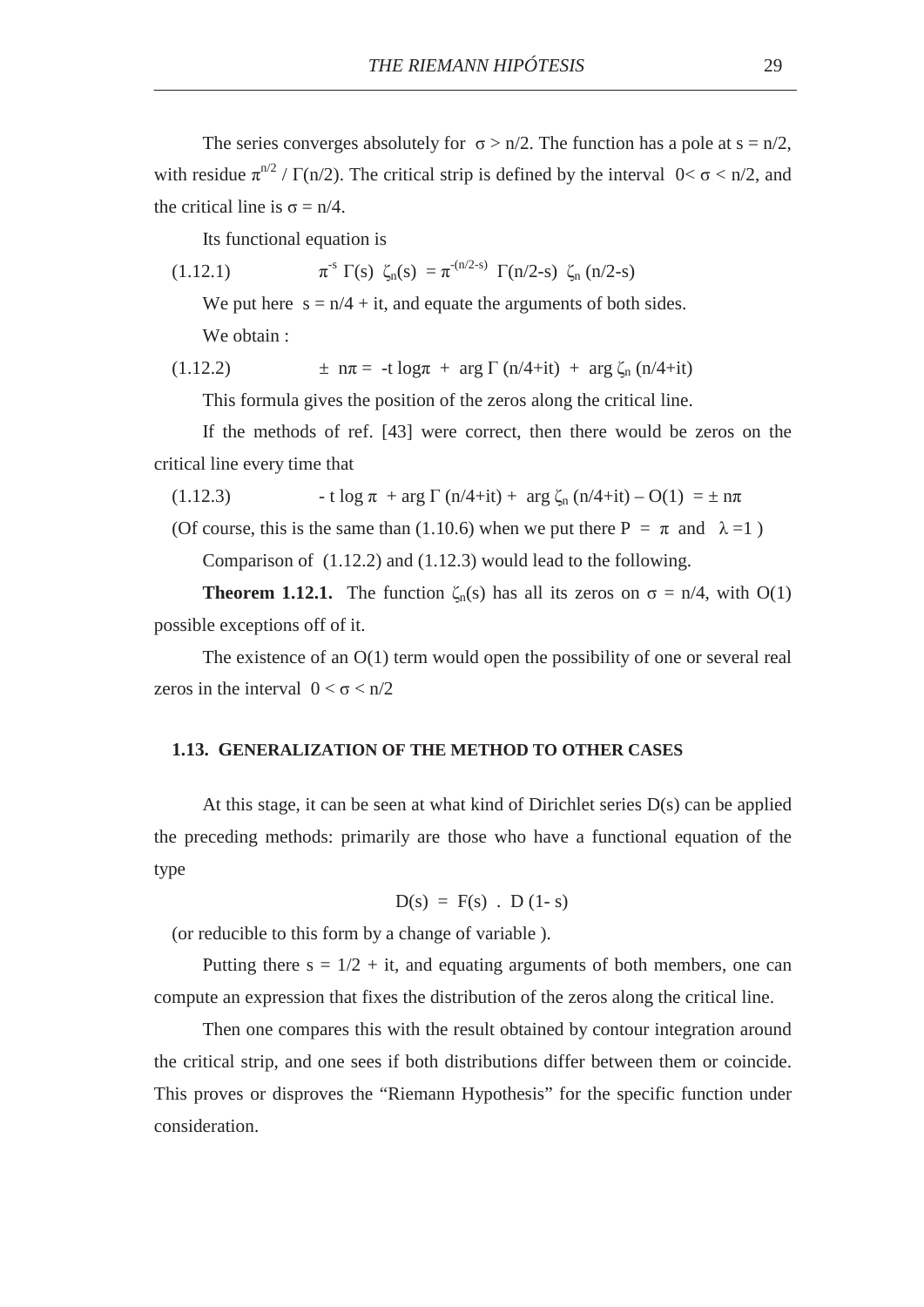The series converges absolutely for  $\sigma > n/2$ . The function has a pole at s = n/2, with residue  $\pi^{n/2} / \Gamma(n/2)$ . The critical strip is defined by the interval  $0 < \sigma < n/2$ , and the critical line is  $\sigma = n/4$ .

Its functional equation is

(1.12.1) 
$$
\pi^{s} \Gamma(s) \zeta_{n}(s) = \pi^{-(n/2-s)} \Gamma(n/2-s) \zeta_{n}(n/2-s)
$$

We put here  $s = n/4 + it$ , and equate the arguments of both sides.

We obtain :

(1.12.2) 
$$
\pm n\pi = -t \log \pi + \arg \Gamma (n/4 + it) + \arg \zeta_n (n/4 + it)
$$

This formula gives the position of the zeros along the critical line.

If the methods of ref. [43] were correct, then there would be zeros on the critical line every time that

(1.12.3)  $\qquad \text{if } \log \pi + \arg \Gamma \left( \frac{n}{4} + \text{if} \right) + \arg \zeta_n \left( \frac{n}{4} + \text{if} \right) - O(1) = \pm n\pi$ 

(Of course, this is the same than (1.10.6) when we put there  $P = \pi$  and  $\lambda = 1$ )

Comparison of (1.12.2) and (1.12.3) would lead to the following.

**Theorem 1.12.1.** The function  $\zeta_n(s)$  has all its zeros on  $\sigma = n/4$ , with O(1) possible exceptions off of it.

The existence of an  $O(1)$  term would open the possibility of one or several real zeros in the interval  $0 < \sigma < n/2$ 

#### **1.13. GENERALIZATION OF THE METHOD TO OTHER CASES**

At this stage, it can be seen at what kind of Dirichlet series  $D(s)$  can be applied the preceding methods: primarily are those who have a functional equation of the type

$$
D(s) = F(s)
$$
.  $D(1-s)$ 

(or reducible to this form by a change of variable ).

Putting there  $s = 1/2 + it$ , and equating arguments of both members, one can compute an expression that fixes the distribution of the zeros along the critical line.

Then one compares this with the result obtained by contour integration around the critical strip, and one sees if both distributions differ between them or coincide. This proves or disproves the "Riemann Hypothesis" for the specific function under consideration.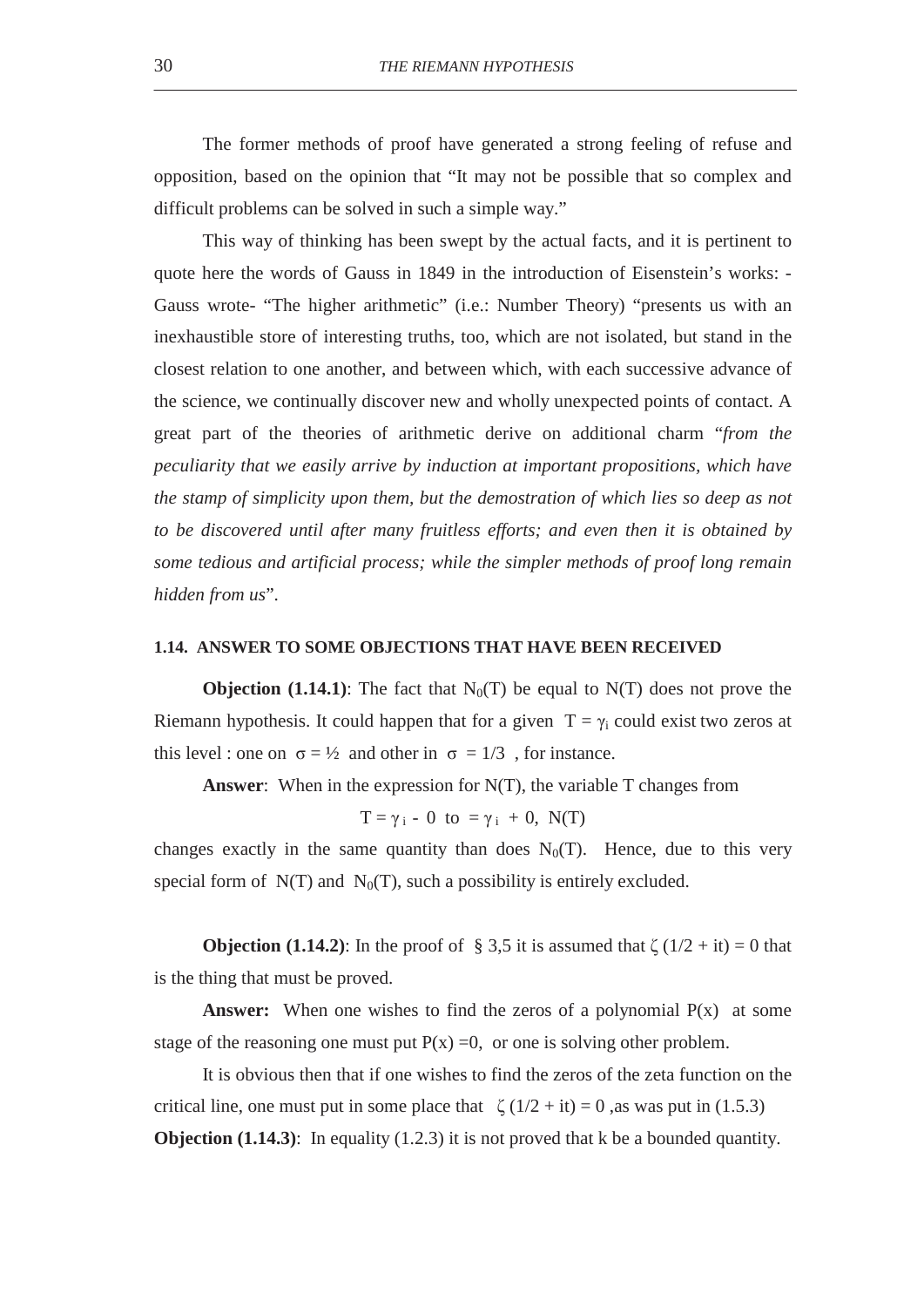The former methods of proof have generated a strong feeling of refuse and opposition, based on the opinion that "It may not be possible that so complex and difficult problems can be solved in such a simple way."

This way of thinking has been swept by the actual facts, and it is pertinent to quote here the words of Gauss in 1849 in the introduction of Eisenstein's works: - Gauss wrote- "The higher arithmetic" (i.e.: Number Theory) "presents us with an inexhaustible store of interesting truths, too, which are not isolated, but stand in the closest relation to one another, and between which, with each successive advance of the science, we continually discover new and wholly unexpected points of contact. A great part of the theories of arithmetic derive on additional charm "*from the peculiarity that we easily arrive by induction at important propositions, which have the stamp of simplicity upon them, but the demostration of which lies so deep as not to be discovered until after many fruitless efforts; and even then it is obtained by some tedious and artificial process; while the simpler methods of proof long remain hidden from us*".

### **1.14. ANSWER TO SOME OBJECTIONS THAT HAVE BEEN RECEIVED**

**Objection (1.14.1)**: The fact that  $N_0(T)$  be equal to  $N(T)$  does not prove the Riemann hypothesis. It could happen that for a given  $T = \gamma_i$  could exist two zeros at this level : one on  $\sigma = \frac{1}{2}$  and other in  $\sigma = \frac{1}{3}$ , for instance.

**Answer**: When in the expression for N(T), the variable T changes from

$$
T = \gamma_i - 0 \ \text{to} \ = \gamma_i + 0, \ N(T)
$$

changes exactly in the same quantity than does  $N_0(T)$ . Hence, due to this very special form of  $N(T)$  and  $N_0(T)$ , such a possibility is entirely excluded.

**Objection (1.14.2):** In the proof of § 3,5 it is assumed that  $\zeta(1/2 + it) = 0$  that is the thing that must be proved.

**Answer:** When one wishes to find the zeros of a polynomial  $P(x)$  at some stage of the reasoning one must put  $P(x) = 0$ , or one is solving other problem.

It is obvious then that if one wishes to find the zeros of the zeta function on the critical line, one must put in some place that  $\zeta(1/2 + it) = 0$ , as was put in (1.5.3) **Objection (1.14.3)**: In equality (1.2.3) it is not proved that k be a bounded quantity.